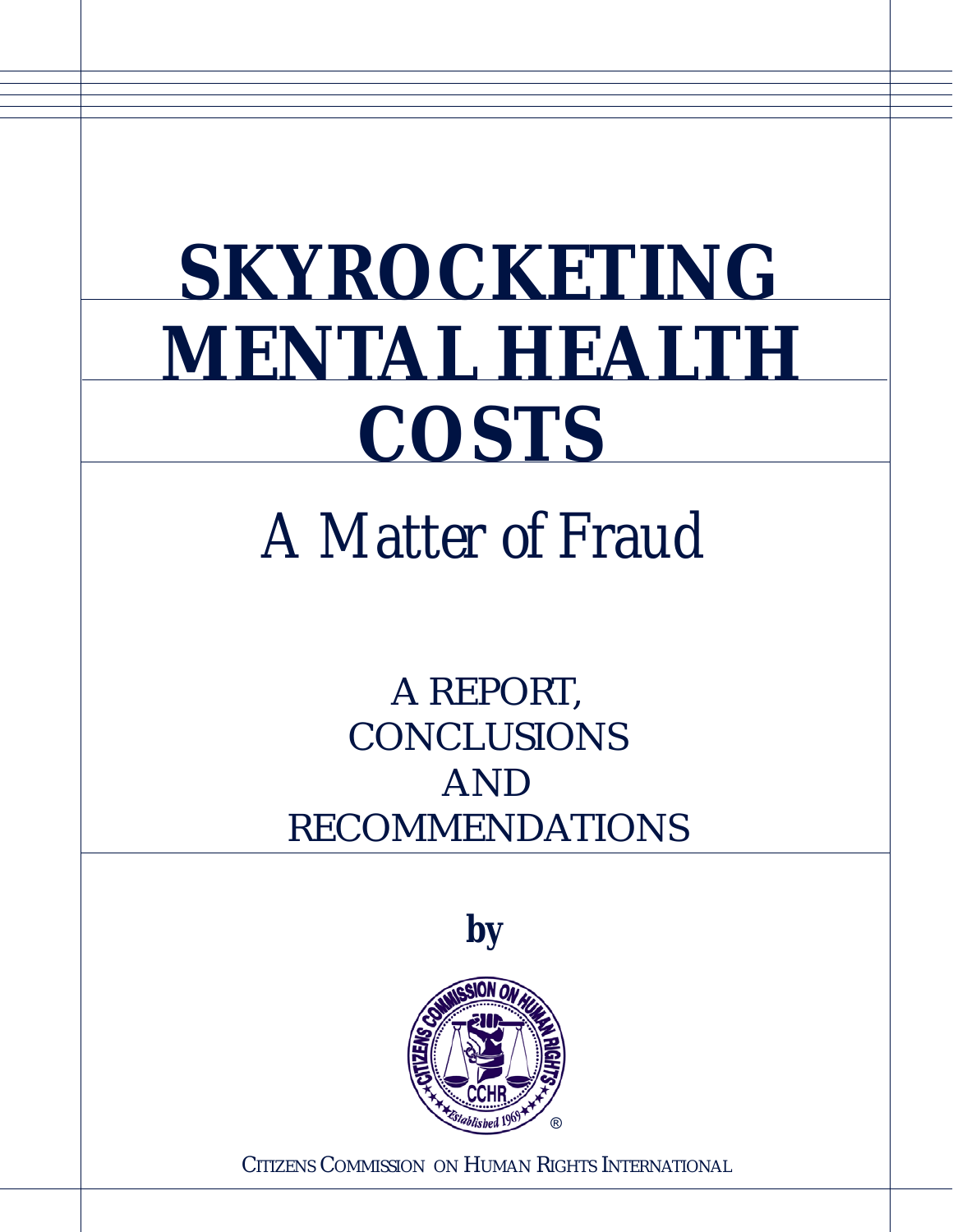# **SKYROCKETING MENTAL HEALTH COSTS**

# *A Matter of Fraud*

A REPORT, **CONCLUSIONS** AND RECOMMENDATIONS



CITIZENS COMMISSION ON HUMAN RIGHTS INTERNATIONAL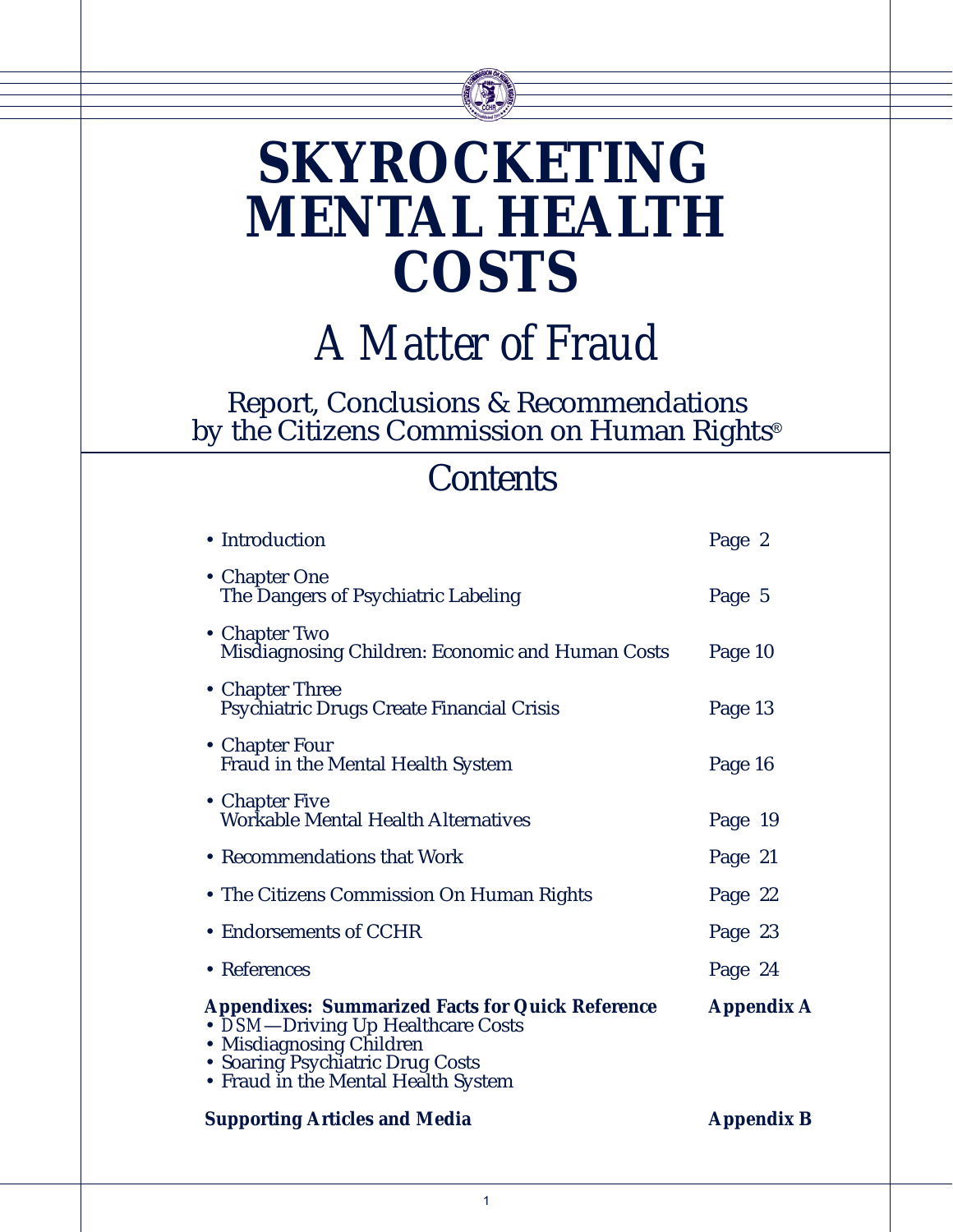## **SKYROCKETING MENTAL HEALTH COSTS**

*A Matter of Fraud*

Report, Conclusions & Recommendations by the Citizens Commission on Human Rights®

### **Contents**

| • Introduction                                                                                                                                                                                      | Page 2            |
|-----------------------------------------------------------------------------------------------------------------------------------------------------------------------------------------------------|-------------------|
| • Chapter One<br>The Dangers of Psychiatric Labeling                                                                                                                                                | Page 5            |
| • Chapter Two<br>Misdiagnosing Children: Economic and Human Costs                                                                                                                                   | Page 10           |
| • Chapter Three<br>Psychiatric Drugs Create Financial Crisis                                                                                                                                        | Page 13           |
| • Chapter Four<br>Fraud in the Mental Health System                                                                                                                                                 | Page 16           |
| • Chapter Five<br><b>Workable Mental Health Alternatives</b>                                                                                                                                        | Page 19           |
| • Recommendations that Work                                                                                                                                                                         | Page 21           |
| • The Citizens Commission On Human Rights                                                                                                                                                           | Page 22           |
| • Endorsements of CCHR                                                                                                                                                                              | Page 23           |
| • References                                                                                                                                                                                        | Page 24           |
| <b>Appendixes: Summarized Facts for Quick Reference</b><br>• DSM-Driving Up Healthcare Costs<br>· Misdiagnosing Children<br>• Soaring Psychiatric Drug Costs<br>• Fraud in the Mental Health System | <b>Appendix A</b> |
| <b>Supporting Articles and Media</b>                                                                                                                                                                | <b>Appendix B</b> |
|                                                                                                                                                                                                     |                   |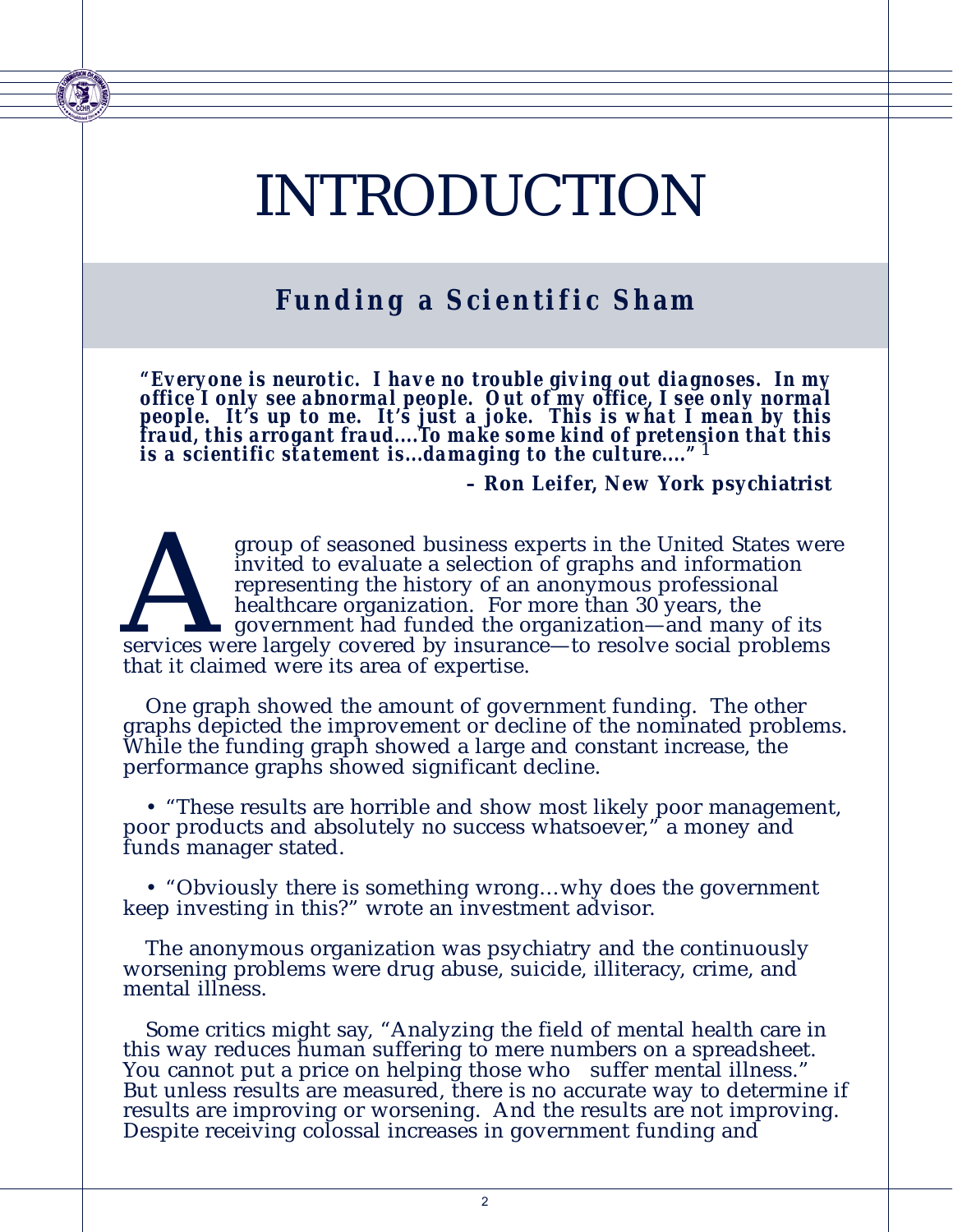## INTRODUCTION

### **Funding a Scientific Sham**

*"Everyone is neurotic. I have no trouble giving out diagnoses. In my office I only see abnormal people. Out of my office, I see only normal people. It's up to me. It's just a joke. This is what I mean by this fraud, this arrogant fraud....To make some kind of pretension that this is a scientific statement is...damaging to the culture...."* 1

**– Ron Leifer, New York psychiatrist**

group of seasoned business experts in the United States were<br>invited to evaluate a selection of graphs and information<br>representing the history of an anonymous professional<br>healthcare organization. For more than 30 years, invited to evaluate a selection of graphs and information representing the history of an anonymous professional healthcare organization. For more than 30 years, the government had funded the organization—and many of its services were largely covered by insurance—to resolve social problems that it claimed were its area of expertise.

One graph showed the amount of government funding. The other graphs depicted the improvement or decline of the nominated problems. While the funding graph showed a large and constant increase, the performance graphs showed significant decline.

• "These results are horrible and show most likely poor management, poor products and absolutely no success whatsoever," a money and funds manager stated.

• "Obviously there is something wrong…why does the government keep investing in this?" wrote an investment advisor.

The anonymous organization was psychiatry and the continuously worsening problems were drug abuse, suicide, illiteracy, crime, and mental illness.

Some critics might say, "Analyzing the field of mental health care in this way reduces human suffering to mere numbers on a spreadsheet. You cannot put a price on helping those who suffer mental illness." But unless results are measured, there is no accurate way to determine if results are improving or worsening. And the results are not improving. Despite receiving colossal increases in government funding and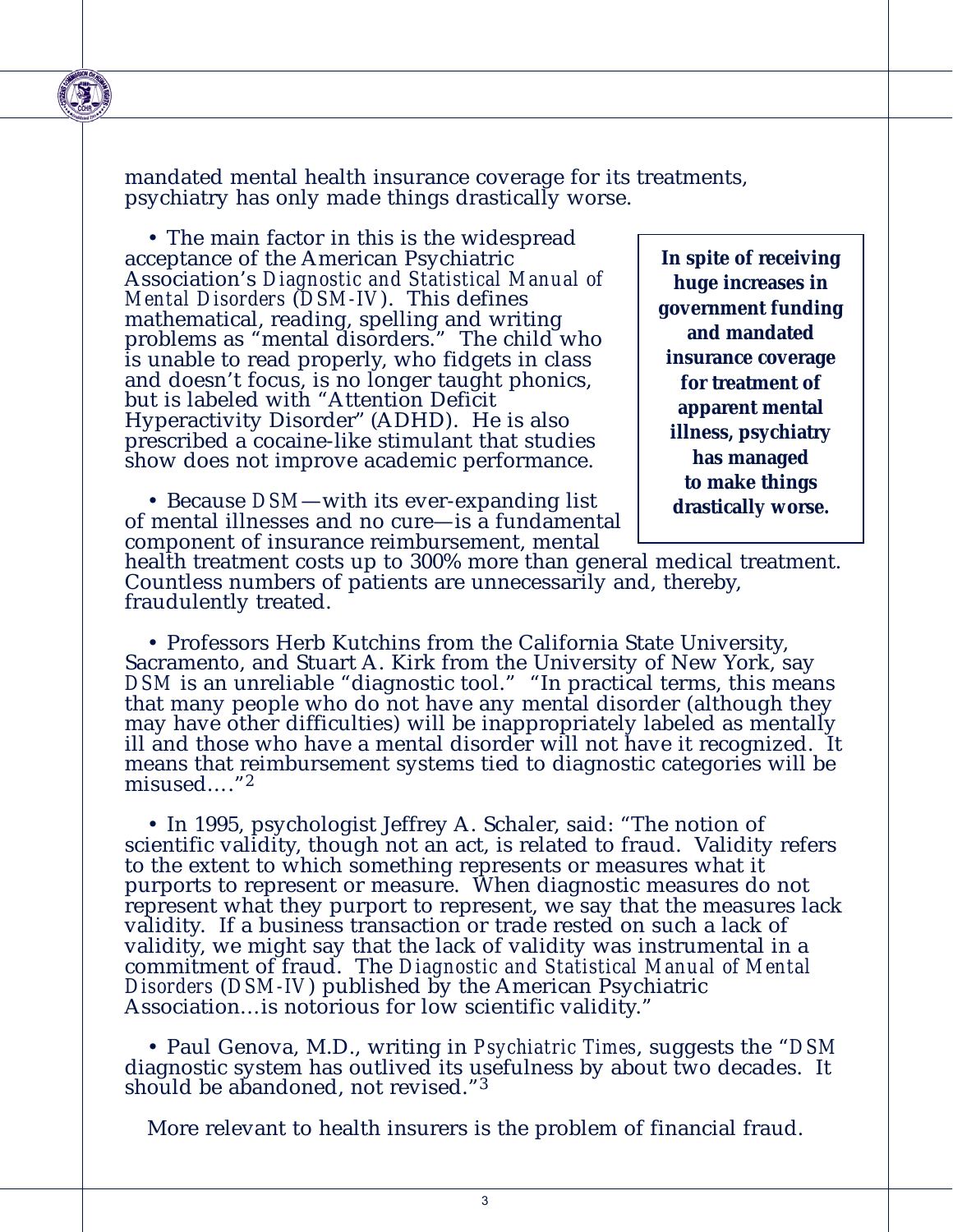mandated mental health insurance coverage for its treatments, psychiatry has only made things drastically worse.

• The main factor in this is the widespread acceptance of the American Psychiatric Association's *Diagnostic and Statistical Manual of Mental Disorders* (*DSM-IV*). This defines mathematical, reading, spelling and writing problems as "mental disorders." The child who is unable to read properly, who fidgets in class and doesn't focus, is no longer taught phonics, but is labeled with "Attention Deficit Hyperactivity Disorder" (ADHD). He is also prescribed a cocaine-like stimulant that studies show does not improve academic performance.

• Because *DSM*—with its ever-expanding list of mental illnesses and no cure—is a fundamental component of insurance reimbursement, mental

**In spite of receiving huge increases in government funding and mandated insurance coverage for treatment of apparent mental illness, psychiatry has managed to make things drastically worse.**

health treatment costs up to 300% more than general medical treatment. Countless numbers of patients are unnecessarily and, thereby, fraudulently treated.

• Professors Herb Kutchins from the California State University, Sacramento, and Stuart A. Kirk from the University of New York, say DSM is an unreliable "diagnostic tool." "In practical terms, this means that many people who do not have any mental disorder (although they may have other difficulties) will be inappropriately labeled as mentally ill and those who have a mental disorder will not have it recognized. It means that reimbursement systems tied to diagnostic categories will be misused…."<sup>2</sup>

• In 1995, psychologist Jeffrey A. Schaler, said: "The notion of scientific validity, though not an act, is related to fraud. Validity refers to the extent to which something represents or measures what it purports to represent or measure. When diagnostic measures do not represent what they purport to represent, we say that the measures lack validity. If a business transaction or trade rested on such a lack of validity, we might say that the lack of validity was instrumental in a commitment of fraud. The *Diagnostic and Statistical Manual of Mental Disorders* (*DSM-IV*) published by the American Psychiatric Association…is notorious for low scientific validity."

• Paul Genova, M.D., writing in *Psychiatric Times*, suggests the "*DSM* diagnostic system has outlived its usefulness by about two decades. It should be abandoned, not revised."<sup>3</sup>

More relevant to health insurers is the problem of financial fraud.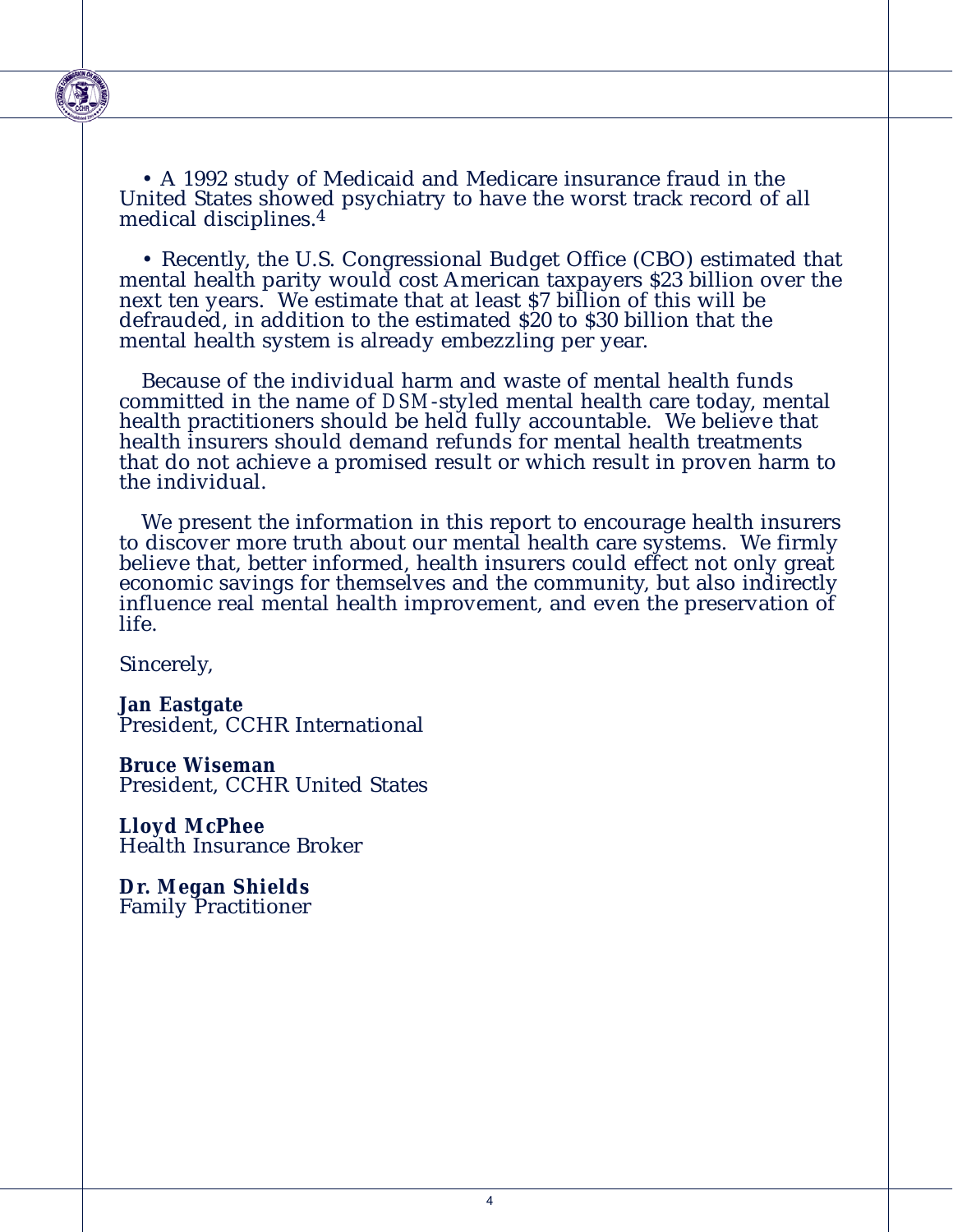

• A 1992 study of Medicaid and Medicare insurance fraud in the United States showed psychiatry to have the worst track record of all medical disciplines.4

• Recently, the U.S. Congressional Budget Office (CBO) estimated that mental health parity would cost American taxpayers \$23 billion over the next ten years. We estimate that at least \$7 billion of this will be defrauded, in addition to the estimated \$20 to \$30 billion that the mental health system is already embezzling per year.

Because of the individual harm and waste of mental health funds committed in the name of *DSM*-styled mental health care today, mental health practitioners should be held fully accountable. We believe that health insurers should demand refunds for mental health treatments that do not achieve a promised result or which result in proven harm to the individual.

We present the information in this report to encourage health insurers to discover more truth about our mental health care systems. We firmly believe that, better informed, health insurers could effect not only great economic savings for themselves and the community, but also indirectly influence real mental health improvement, and even the preservation of life.

Sincerely,

**Jan Eastgate** President, CCHR International

**Bruce Wiseman** President, CCHR United States

**Lloyd McPhee** Health Insurance Broker

**Dr. Megan Shields** Family Practitioner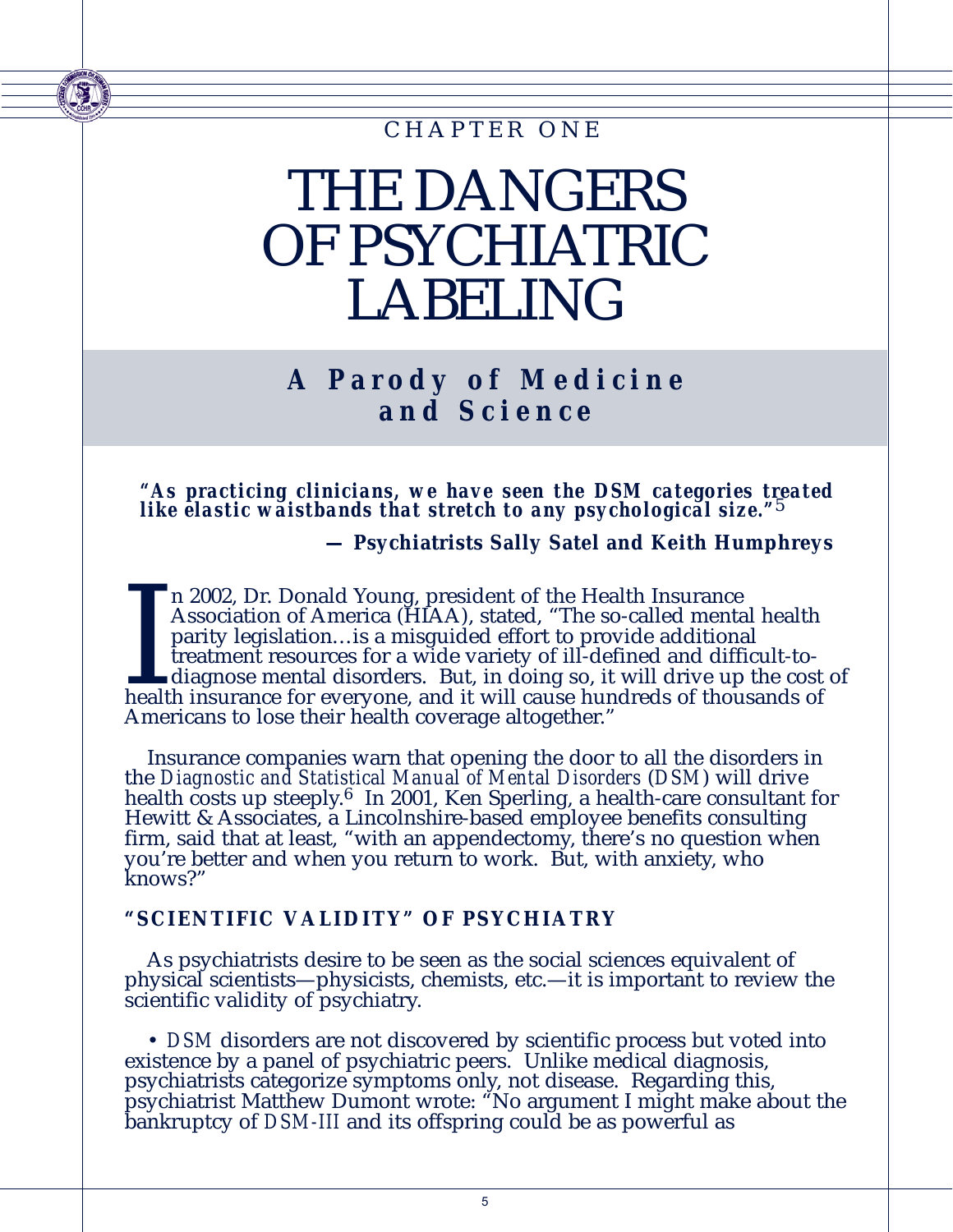### CHAPTER ONE

## THE DANGERS OF PSYCHIATRIC LABELING

### **A Parody of Medicine and Science**

*"As practicing clinicians, we have seen the DSM categories treated like elastic waistbands that stretch to any psychological size."*5

**— Psychiatrists Sally Satel and Keith Humphreys** 

In 2002, Dr. Donald Young, president of the Health Insurance<br>Association of America (HIAA), stated, "The so-called mental health<br>parity legislation...is a misguided effort to provide additional<br>treatment resources for a wi n 2002, Dr. Donald Young, president of the Health Insurance Association of America (HIAA), stated, "The so-called mental health parity legislation…is a misguided effort to provide additional treatment resources for a wide variety of ill-defined and difficult-to- $\Box$  diagnose mental disorders. But, in doing so, it will drive up the cost of Americans to lose their health coverage altogether."

Insurance companies warn that opening the door to all the disorders in the *Diagnostic and Statistical Manual of Mental Disorders* (*DSM*) will drive health costs up steeply.<sup>6</sup> In 2001, Ken Sperling, a health-care consultant for Hewitt & Associates, a Lincolnshire-based employee benefits consulting firm, said that at least, "with an appendectomy, there's no question when you're better and when you return to work. But, with anxiety, who knows?"

#### **"SCIENTIFIC VALIDITY" OF PSYCHIATRY**

As psychiatrists desire to be seen as the social sciences equivalent of physical scientists—physicists, chemists, etc.—it is important to review the scientific validity of psychiatry.

• *DSM* disorders are not discovered by scientific process but voted into existence by a panel of psychiatric peers. Unlike medical diagnosis, psychiatrists categorize symptoms only, not disease. Regarding this, psychiatrist Matthew Dumont wrote: "No argument I might make about the bankruptcy of *DSM-III* and its offspring could be as powerful as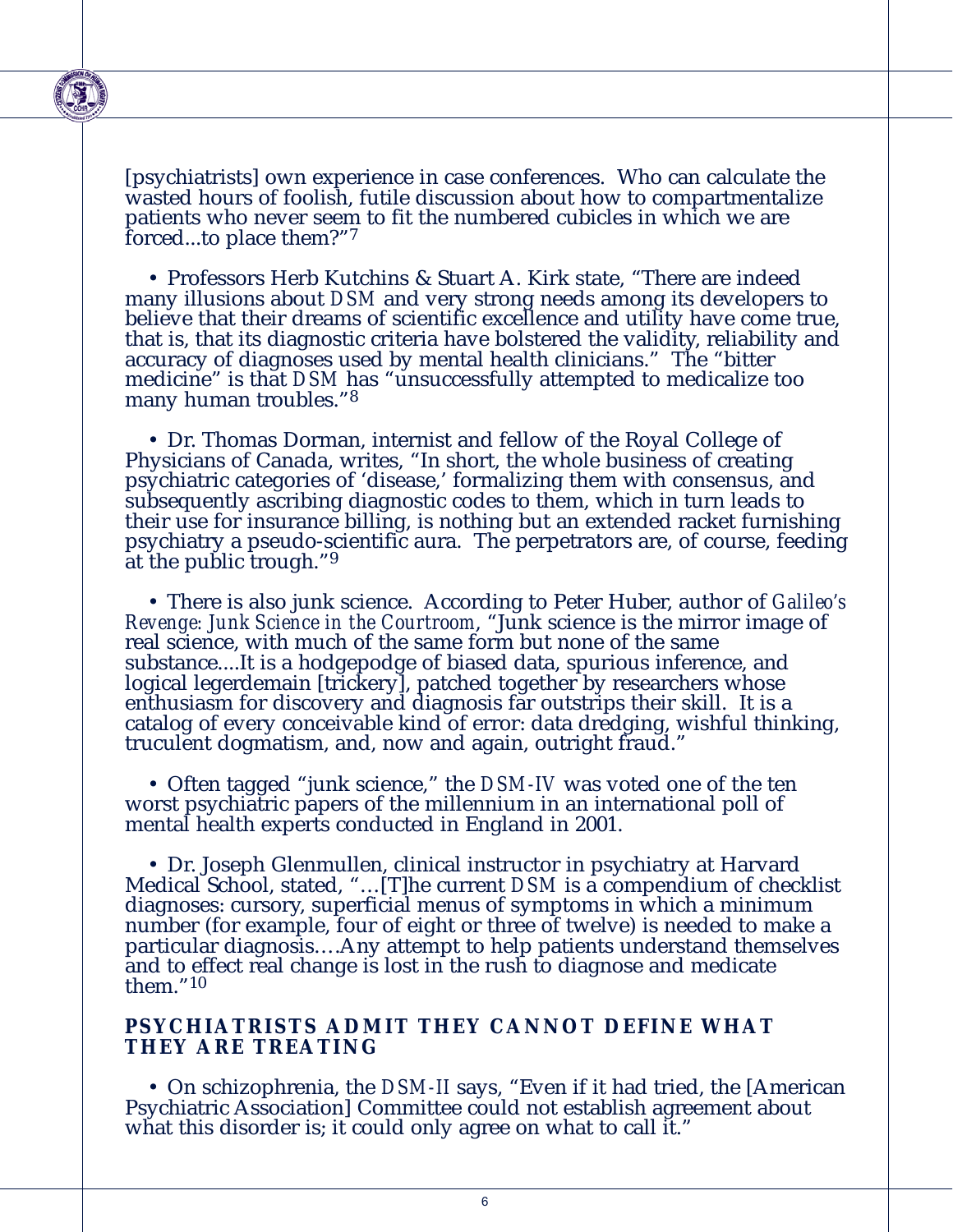

[psychiatrists] own experience in case conferences. Who can calculate the wasted hours of foolish, futile discussion about how to compartmentalize patients who never seem to fit the numbered cubicles in which we are forced...to place them?"7

• Professors Herb Kutchins & Stuart A. Kirk state, "There are indeed many illusions about *DSM* and very strong needs among its developers to believe that their dreams of scientific excellence and utility have come true, that is, that its diagnostic criteria have bolstered the validity, reliability and accuracy of diagnoses used by mental health clinicians." The "bitter medicine" is that *DSM* has "unsuccessfully attempted to medicalize too many human troubles."8

• Dr. Thomas Dorman, internist and fellow of the Royal College of Physicians of Canada, writes, "In short, the whole business of creating psychiatric categories of 'disease,' formalizing them with consensus, and subsequently ascribing diagnostic codes to them, which in turn leads to their use for insurance billing, is nothing but an extended racket furnishing psychiatry a pseudo-scientific aura. The perpetrators are, of course, feeding at the public trough."9

• There is also junk science. According to Peter Huber, author of *Galileo's Revenge: Junk Science in the Courtroom*, "Junk science is the mirror image of real science, with much of the same form but none of the same substance....It is a hodgepodge of biased data, spurious inference, and logical legerdemain [trickery], patched together by researchers whose enthusiasm for discovery and diagnosis far outstrips their skill. It is a catalog of every conceivable kind of error: data dredging, wishful thinking, truculent dogmatism, and, now and again, outright fraud."

• Often tagged "junk science," the *DSM-IV* was voted one of the ten worst psychiatric papers of the millennium in an international poll of mental health experts conducted in England in 2001.

• Dr. Joseph Glenmullen, clinical instructor in psychiatry at Harvard Medical School, stated, "…[T]he current *DSM* is a compendium of checklist diagnoses: cursory, superficial menus of symptoms in which a minimum number (for example, four of eight or three of twelve) is needed to make a particular diagnosis….Any attempt to help patients understand themselves and to effect real change is lost in the rush to diagnose and medicate them."10

#### **PSYCHIATRISTS ADMIT THEY CANNOT DEFINE WHAT THEY ARE TREATING**

• On schizophrenia, the *DSM-II* says, "Even if it had tried, the [American Psychiatric Association] Committee could not establish agreement about what this disorder is; it could only agree on what to call it."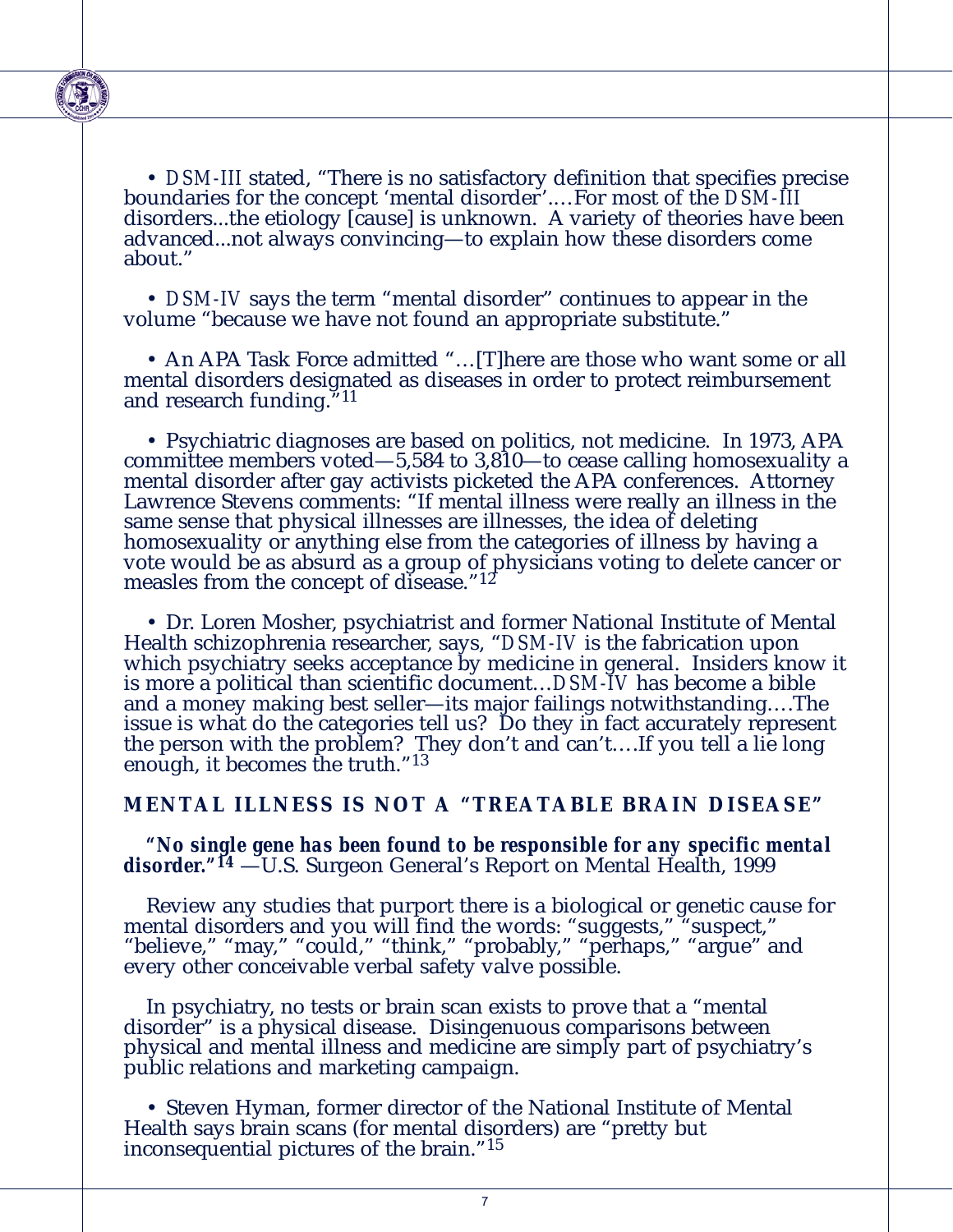

• *DSM-III* stated, "There is no satisfactory definition that specifies precise boundaries for the concept 'mental disorder'.…For most of the *DSM-III* disorders...the etiology [cause] is unknown. A variety of theories have been advanced...not always convincing—to explain how these disorders come about."

• *DSM-IV* says the term "mental disorder" continues to appear in the volume "because we have not found an appropriate substitute."

• An APA Task Force admitted "…[T]here are those who want some or all mental disorders designated as diseases in order to protect reimbursement and research funding."11

• Psychiatric diagnoses are based on politics, not medicine. In 1973, APA committee members voted—5,584 to 3,810—to cease calling homosexuality a mental disorder after gay activists picketed the APA conferences. Attorney Lawrence Stevens comments: "If mental illness were really an illness in the same sense that physical illnesses are illnesses, the idea of deleting homosexuality or anything else from the categories of illness by having a vote would be as absurd as a group of physicians voting to delete cancer or measles from the concept of disease."12"

• Dr. Loren Mosher, psychiatrist and former National Institute of Mental Health schizophrenia researcher, says, "*DSM-IV* is the fabrication upon which psychiatry seeks acceptance by medicine in general. Insiders know it is more a political than scientific document…*DSM-IV* has become a bible and a money making best seller—its major failings notwithstanding….The issue is what do the categories tell us? Do they in fact accurately represent the person with the problem? They don't and can't….If you tell a lie long enough, it becomes the truth."13

#### **MENTAL ILLNESS IS NOT A "TREATABLE BRAIN DISEASE"**

#### *"No single gene has been found to be responsible for any specific mental* disorder."<sup>14</sup> —U.S. Surgeon General's Report on Mental Health, 1999

Review any studies that purport there is a biological or genetic cause for mental disorders and you will find the words: "suggests," "suspect," "believe," "may," "could," "think," "probably," "perhaps," "argue" and every other conceivable verbal safety valve possible.

In psychiatry, no tests or brain scan exists to prove that a "mental disorder" is a physical disease. Disingenuous comparisons between physical and mental illness and medicine are simply part of psychiatry's public relations and marketing campaign.

• Steven Hyman, former director of the National Institute of Mental Health says brain scans (for mental disorders) are "pretty but inconsequential pictures of the brain."15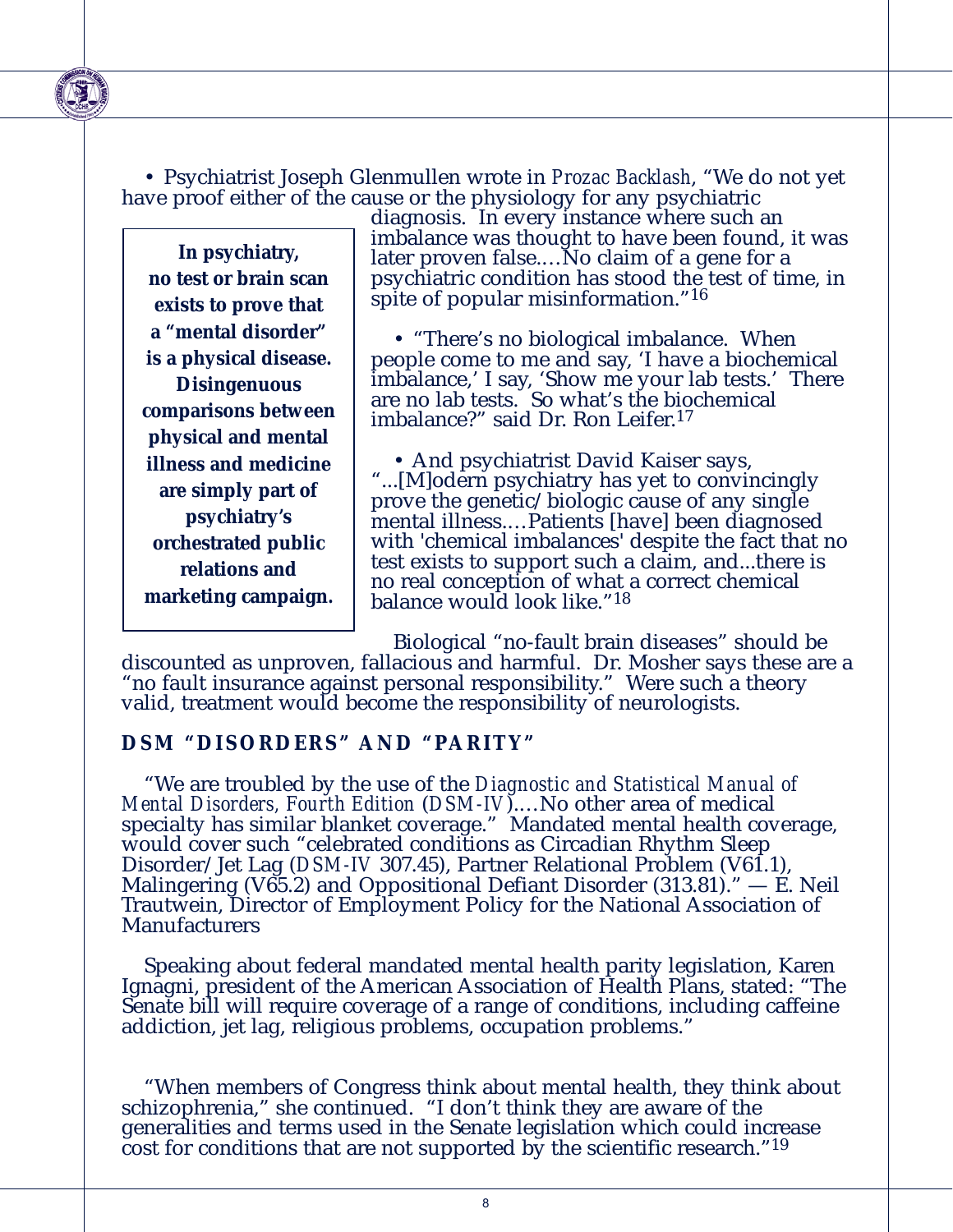• Psychiatrist Joseph Glenmullen wrote in *Prozac Backlash*, "We do not yet have proof either of the cause or the physiology for any psychiatric

**In psychiatry, no test or brain scan exists to prove that a "mental disorder" is a physical disease. Disingenuous comparisons between physical and mental illness and medicine are simply part of psychiatry's orchestrated public relations and marketing campaign.**

diagnosis. In every instance where such an imbalance was thought to have been found, it was later proven false.…No claim of a gene for a psychiatric condition has stood the test of time, in spite of popular misinformation."16

• "There's no biological imbalance. When people come to me and say, 'I have a biochemical imbalance,' I say, 'Show me your lab tests.' There are no lab tests. So what's the biochemical imbalance?" said Dr. Ron Leifer.17

• And psychiatrist David Kaiser says, "...[M]odern psychiatry has yet to convincingly prove the genetic/biologic cause of any single mental illness.…Patients [have] been diagnosed with 'chemical imbalances' despite the fact that no test exists to support such a claim, and...there is no real conception of what a correct chemical balance would look like."18

Biological "no-fault brain diseases" should be

discounted as unproven, fallacious and harmful. Dr. Mosher says these are a "no fault insurance against personal responsibility." Were such a theory valid, treatment would become the responsibility of neurologists.

#### **DSM "DISORDERS" AND "PARITY"**

"We are troubled by the use of the *Diagnostic and Statistical Manual of Mental Disorders, Fourth Edition* (*DSM-IV*).…No other area of medical specialty has similar blanket coverage." Mandated mental health coverage, would cover such "celebrated conditions as Circadian Rhythm Sleep Disorder/Jet Lag (*DSM-IV* 307.45), Partner Relational Problem (V61.1), Malingering (V $65.2$ ) and Oppositional Defiant Disorder (313.81)."  $- E$ . Neil Trautwein, Director of Employment Policy for the National Association of **Manufacturers** 

Speaking about federal mandated mental health parity legislation, Karen Ignagni, president of the American Association of Health Plans, stated: "The Senate bill will require coverage of a range of conditions, including caffeine addiction, jet lag, religious problems, occupation problems."

"When members of Congress think about mental health, they think about schizophrenia," she continued. "I don't think they are aware of the generalities and terms used in the Senate legislation which could increase cost for conditions that are not supported by the scientific research."19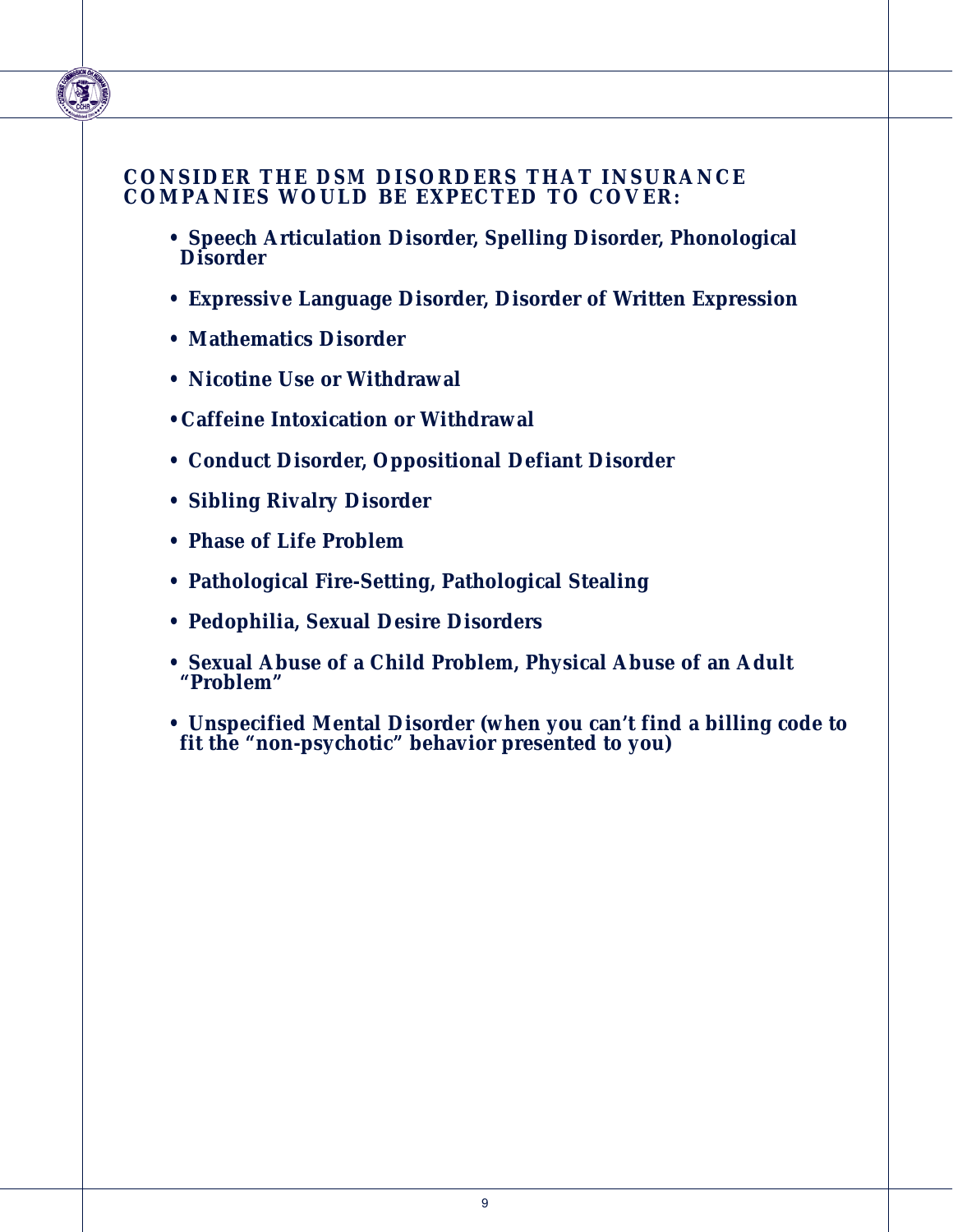#### **CONSIDER THE** *DSM* **DISORDERS THAT INSURANCE COMPANIES WOULD BE EXPECTED TO COVER:**

- **Speech Articulation Disorder, Spelling Disorder, Phonological Disorder**
- **Expressive Language Disorder, Disorder of Written Expression**
- **Mathematics Disorder**
- **Nicotine Use or Withdrawal**
- **•Caffeine Intoxication or Withdrawal**
- **Conduct Disorder, Oppositional Defiant Disorder**
- **Sibling Rivalry Disorder**
- **Phase of Life Problem**
- **Pathological Fire-Setting, Pathological Stealing**
- **Pedophilia, Sexual Desire Disorders**
- **Sexual Abuse of a Child Problem, Physical Abuse of an Adult "Problem"**
- **Unspecified Mental Disorder (when you can't find a billing code to fit the "non-psychotic" behavior presented to you)**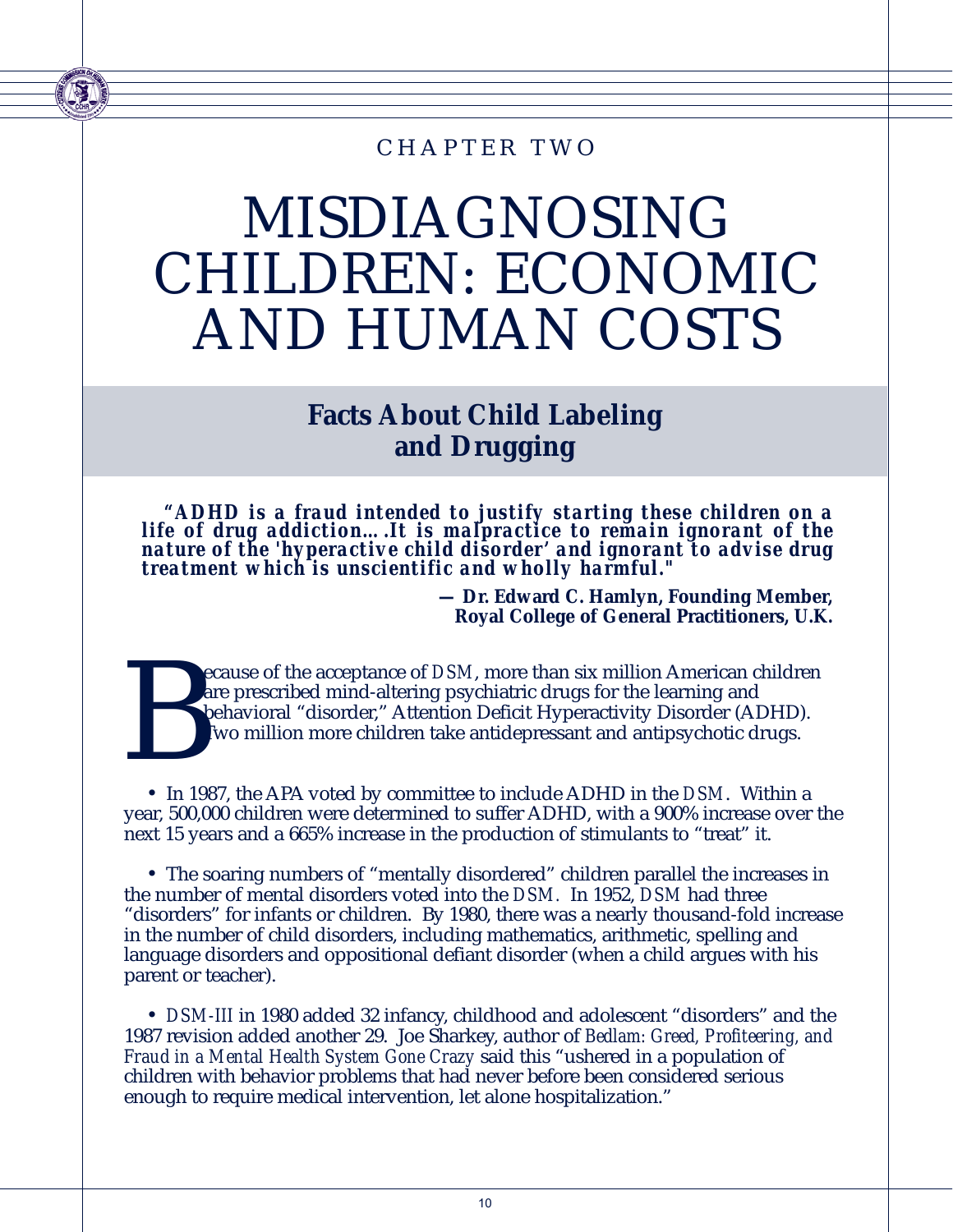### CHAPTER TWO

## MISDIAGNOSING CHILDREN: ECONOMIC AND HUMAN COSTS

### **Facts About Child Labeling and Drugging**

*"ADHD is a fraud intended to justify starting these children on a life of drug addiction….It is malpractice to remain ignorant of the nature of the 'hyperactive child disorder' and ignorant to advise drug treatment which is unscientific and wholly harmful."* 

> **— Dr. Edward C. Hamlyn, Founding Member, Royal College of General Practitioners, U.K.**

Experience of *DSM*, more than six million American children<br>are prescribed mind-altering psychiatric drugs for the learning and<br>behavioral "disorder," Attention Deficit Hyperactivity Disorder (ADHD).<br>Two million more chil are prescribed mind-altering psychiatric drugs for the learning and behavioral "disorder," Attention Deficit Hyperactivity Disorder (ADHD). Two million more children take antidepressant and antipsychotic drugs.

• In 1987, the APA voted by committee to include ADHD in the *DSM*. Within a year, 500,000 children were determined to suffer ADHD, with a 900% increase over the next 15 years and a 665% increase in the production of stimulants to "treat" it.

• The soaring numbers of "mentally disordered" children parallel the increases in the number of mental disorders voted into the *DSM.* In 1952, *DSM* had three "disorders" for infants or children. By 1980, there was a nearly thousand-fold increase in the number of child disorders, including mathematics, arithmetic, spelling and language disorders and oppositional defiant disorder (when a child argues with his parent or teacher).

• *DSM-III* in 1980 added 32 infancy, childhood and adolescent "disorders" and the 1987 revision added another 29. Joe Sharkey, author of *Bedlam: Greed, Profiteering, and Fraud in a Mental Health System Gone Crazy* said this "ushered in a population of children with behavior problems that had never before been considered serious enough to require medical intervention, let alone hospitalization."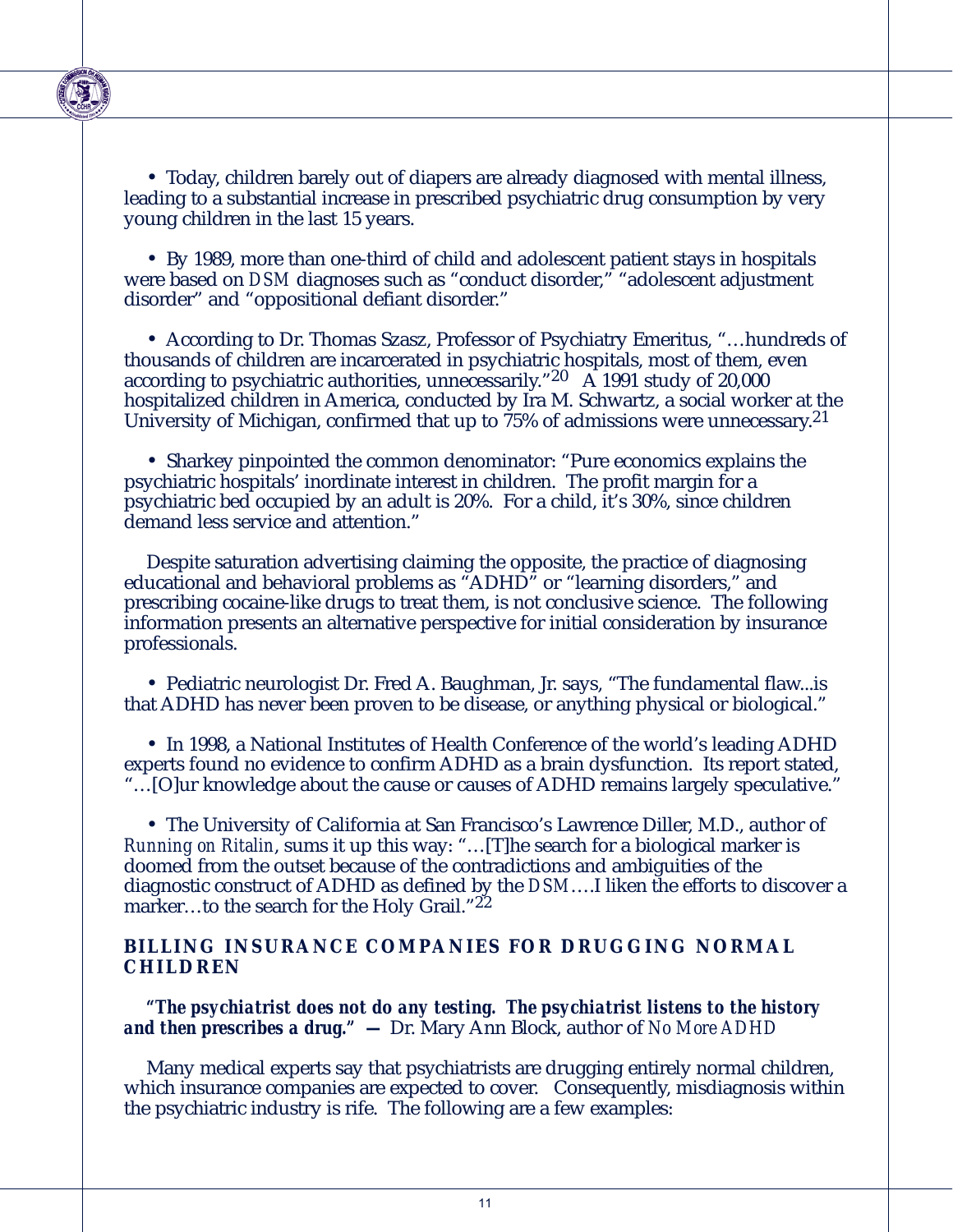

• Today, children barely out of diapers are already diagnosed with mental illness, leading to a substantial increase in prescribed psychiatric drug consumption by very young children in the last 15 years.

• By 1989, more than one-third of child and adolescent patient stays in hospitals were based on *DSM* diagnoses such as "conduct disorder," "adolescent adjustment disorder" and "oppositional defiant disorder."

• According to Dr. Thomas Szasz, Professor of Psychiatry Emeritus, "…hundreds of thousands of children are incarcerated in psychiatric hospitals, most of them, even according to psychiatric authorities, unnecessarily."  $20\text{ A}$  1991 study of 20,000 hospitalized children in America, conducted by Ira M. Schwartz, a social worker at the University of Michigan, confirmed that up to  $75\%$  of admissions were unnecessary.<sup>21</sup>

• Sharkey pinpointed the common denominator: "Pure economics explains the psychiatric hospitals' inordinate interest in children. The profit margin for a psychiatric bed occupied by an adult is 20%. For a child, it's 30%, since children demand less service and attention."

Despite saturation advertising claiming the opposite, the practice of diagnosing educational and behavioral problems as "ADHD" or "learning disorders," and prescribing cocaine-like drugs to treat them, is not conclusive science. The following information presents an alternative perspective for initial consideration by insurance professionals.

• Pediatric neurologist Dr. Fred A. Baughman, Jr. says, "The fundamental flaw...is that ADHD has never been proven to be disease, or anything physical or biological."

• In 1998, a National Institutes of Health Conference of the world's leading ADHD experts found no evidence to confirm ADHD as a brain dysfunction. Its report stated, "…[O]ur knowledge about the cause or causes of ADHD remains largely speculative."

• The University of California at San Francisco's Lawrence Diller, M.D., author of *Running on Ritalin*, sums it up this way: "…[T]he search for a biological marker is doomed from the outset because of the contradictions and ambiguities of the diagnostic construct of ADHD as defined by the *DSM*….I liken the efforts to discover a marker...to the search for the Holy Grail."22

#### **BILLING INSURANCE COMPANIES FOR DRUGGING NORMAL CHILDREN**

*"The psychiatrist does not do any testing. The psychiatrist listens to the history and then prescribes a drug." —* Dr. Mary Ann Block, author of *No More ADHD*

Many medical experts say that psychiatrists are drugging entirely normal children, which insurance companies are expected to cover. Consequently, misdiagnosis within the psychiatric industry is rife. The following are a few examples: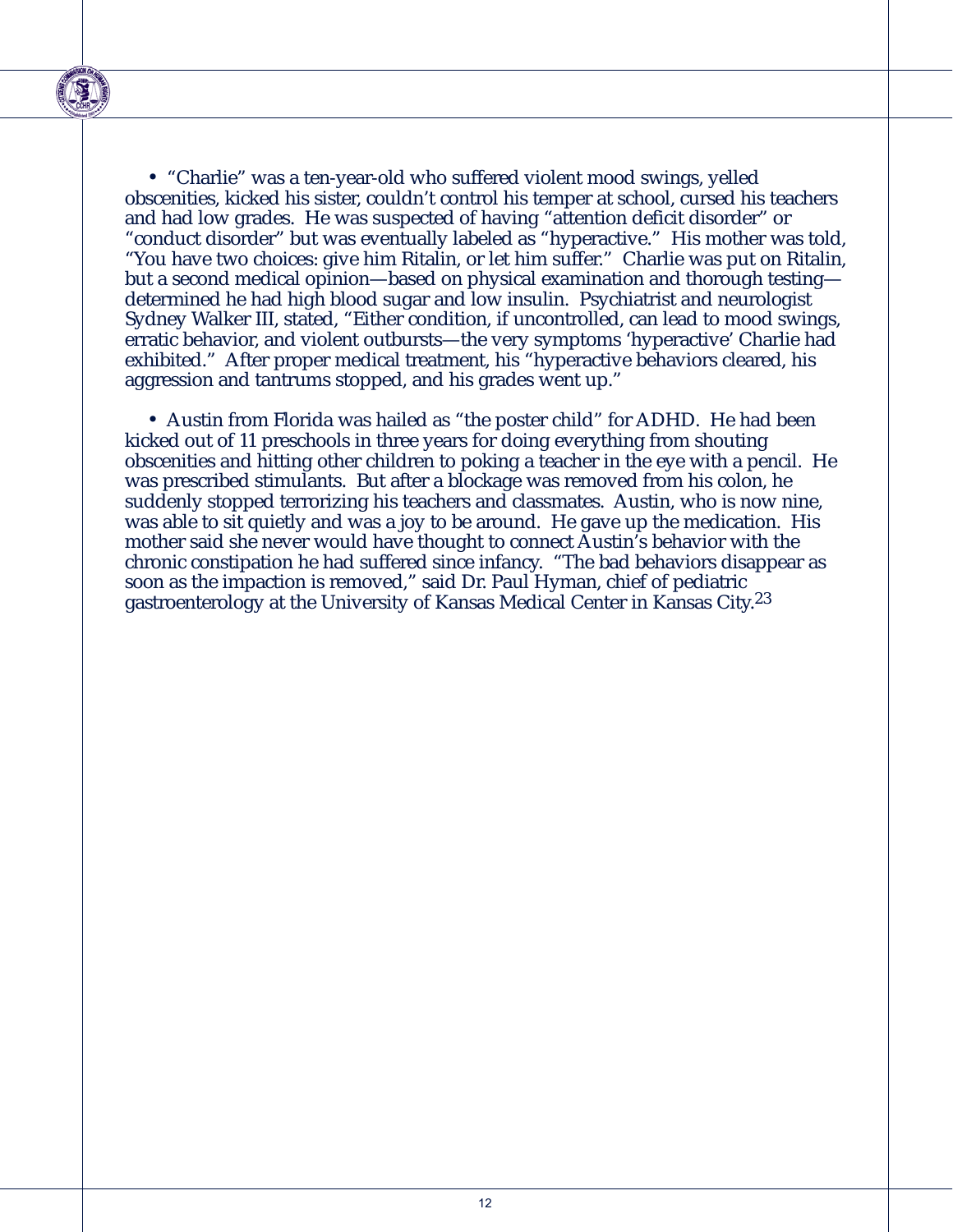

• "Charlie" was a ten-year-old who suffered violent mood swings, yelled obscenities, kicked his sister, couldn't control his temper at school, cursed his teachers and had low grades. He was suspected of having "attention deficit disorder" or "conduct disorder" but was eventually labeled as "hyperactive." His mother was told, "You have two choices: give him Ritalin, or let him suffer." Charlie was put on Ritalin, but a second medical opinion—based on physical examination and thorough testing determined he had high blood sugar and low insulin. Psychiatrist and neurologist Sydney Walker III, stated, "Either condition, if uncontrolled, can lead to mood swings, erratic behavior, and violent outbursts—the very symptoms 'hyperactive' Charlie had exhibited." After proper medical treatment, his "hyperactive behaviors cleared, his aggression and tantrums stopped, and his grades went up."

• Austin from Florida was hailed as "the poster child" for ADHD. He had been kicked out of 11 preschools in three years for doing everything from shouting obscenities and hitting other children to poking a teacher in the eye with a pencil. He was prescribed stimulants. But after a blockage was removed from his colon, he suddenly stopped terrorizing his teachers and classmates. Austin, who is now nine, was able to sit quietly and was a joy to be around. He gave up the medication. His mother said she never would have thought to connect Austin's behavior with the chronic constipation he had suffered since infancy. "The bad behaviors disappear as soon as the impaction is removed," said Dr. Paul Hyman, chief of pediatric gastroenterology at the University of Kansas Medical Center in Kansas City.23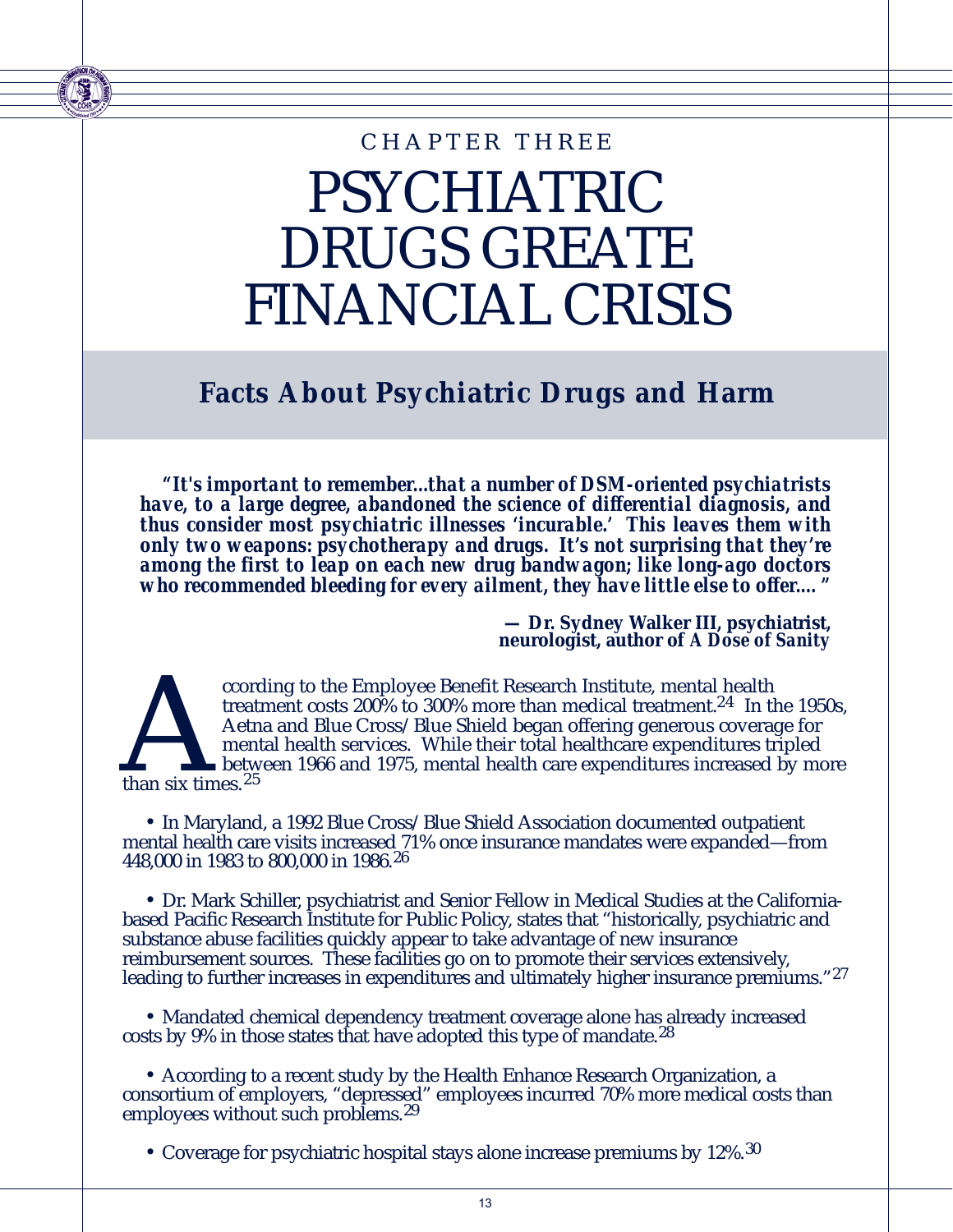## PSYCHIATRIC DRUGS GREATE FINANCIAL CRISIS CHAPTER THREE

**Facts About Psychiatric Drugs and Harm**

*"It's important to remember...that a number of DSM-oriented psychiatrists have, to a large degree, abandoned the science of differential diagnosis, and thus consider most psychiatric illnesses 'incurable.' This leaves them with only two weapons: psychotherapy and drugs. It's not surprising that they're among the first to leap on each new drug bandwagon; like long-ago doctors who recommended bleeding for every ailment, they have little else to offer.…"* 

> **— Dr. Sydney Walker III, psychiatrist, neurologist, author of** *A Dose of Sanity*



cording to the Employee Benefit Research Institute, mental health<br>treatment costs 200% to 300% more than medical treatment.<sup>24</sup> In t<br>Aetna and Blue Cross/Blue Shield began offering generous covera<br>mental health services. treatment costs 200% to 300% more than medical treatment.<sup>24</sup> In the 1950s, Aetna and Blue Cross/Blue Shield began offering generous coverage for mental health services. While their total healthcare expenditures tripled between 1966 and 1975, mental health care expenditures increased by more

• In Maryland, a 1992 Blue Cross/Blue Shield Association documented outpatient mental health care visits increased 71% once insurance mandates were expanded—from 448,000 in 1983 to 800,000 in 1986.26

• Dr. Mark Schiller, psychiatrist and Senior Fellow in Medical Studies at the Californiabased Pacific Research Institute for Public Policy, states that "historically, psychiatric and substance abuse facilities quickly appear to take advantage of new insurance reimbursement sources. These facilities go on to promote their services extensively, leading to further increases in expenditures and ultimately higher insurance premiums."<sup>27</sup>

• Mandated chemical dependency treatment coverage alone has already increased costs by 9% in those states that have adopted this type of mandate.28

• According to a recent study by the Health Enhance Research Organization, a consortium of employers, "depressed" employees incurred 70% more medical costs than employees without such problems.<sup>29</sup>

• Coverage for psychiatric hospital stays alone increase premiums by 12%.<sup>30</sup>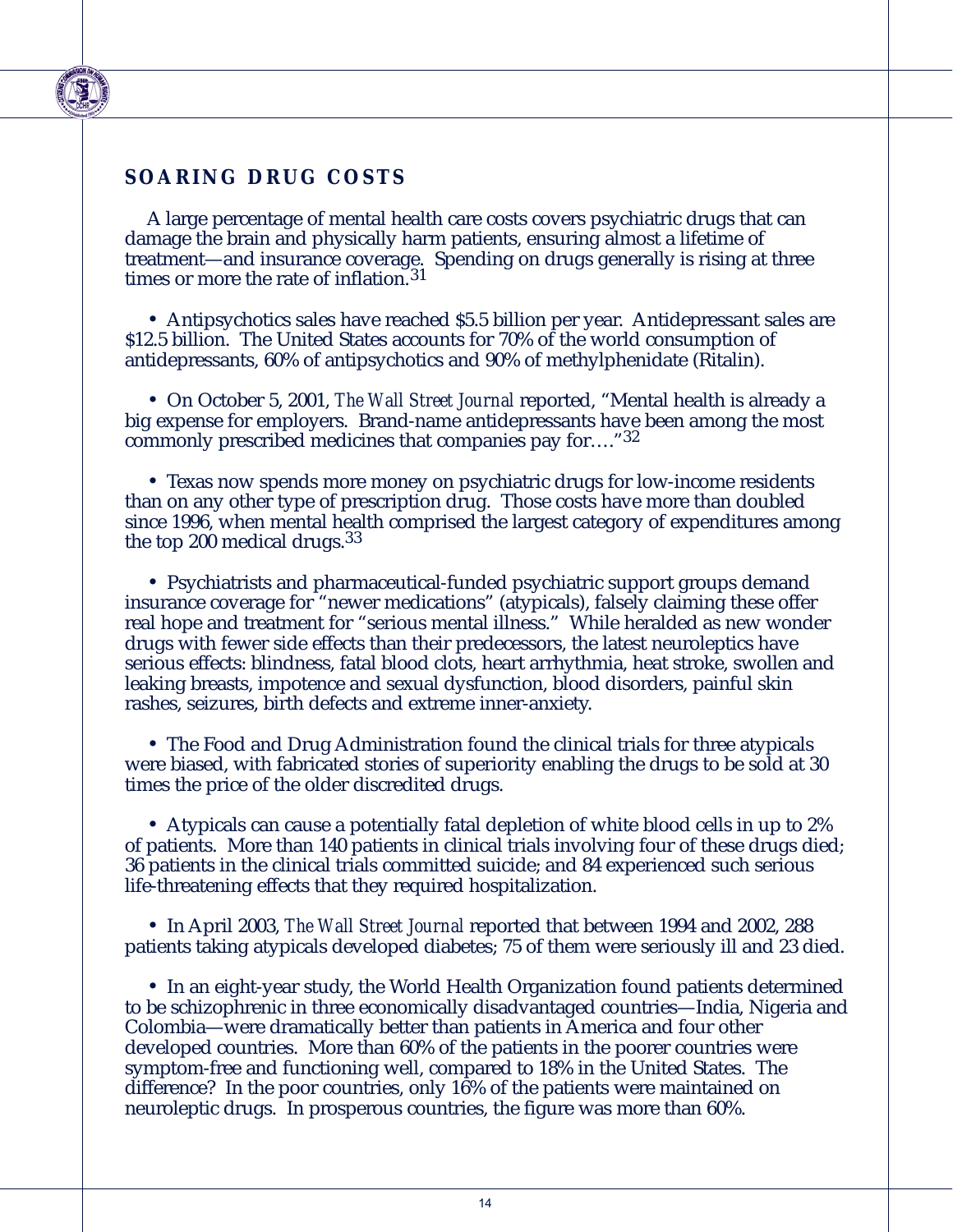#### **SOARING DRUG COSTS**

A large percentage of mental health care costs covers psychiatric drugs that can damage the brain and physically harm patients, ensuring almost a lifetime of treatment—and insurance coverage. Spending on drugs generally is rising at three times or more the rate of inflation.<sup>31</sup>

• Antipsychotics sales have reached \$5.5 billion per year. Antidepressant sales are \$12.5 billion. The United States accounts for 70% of the world consumption of antidepressants, 60% of antipsychotics and 90% of methylphenidate (Ritalin).

• On October 5, 2001, *The Wall Street Journal* reported, "Mental health is already a big expense for employers. Brand-name antidepressants have been among the most commonly prescribed medicines that companies pay for…."32

• Texas now spends more money on psychiatric drugs for low-income residents than on any other type of prescription drug. Those costs have more than doubled since 1996, when mental health comprised the largest category of expenditures among the top 200 medical drugs.<sup>33</sup>

• Psychiatrists and pharmaceutical-funded psychiatric support groups demand insurance coverage for "newer medications" (atypicals), falsely claiming these offer real hope and treatment for "serious mental illness." While heralded as new wonder drugs with fewer side effects than their predecessors, the latest neuroleptics have serious effects: blindness, fatal blood clots, heart arrhythmia, heat stroke, swollen and leaking breasts, impotence and sexual dysfunction, blood disorders, painful skin rashes, seizures, birth defects and extreme inner-anxiety.

• The Food and Drug Administration found the clinical trials for three atypicals were biased, with fabricated stories of superiority enabling the drugs to be sold at 30 times the price of the older discredited drugs.

• Atypicals can cause a potentially fatal depletion of white blood cells in up to 2% of patients. More than 140 patients in clinical trials involving four of these drugs died; 36 patients in the clinical trials committed suicide; and 84 experienced such serious life-threatening effects that they required hospitalization.

• In April 2003, *The Wall Street Journal* reported that between 1994 and 2002, 288 patients taking atypicals developed diabetes; 75 of them were seriously ill and 23 died.

• In an eight-year study, the World Health Organization found patients determined to be schizophrenic in three economically disadvantaged countries—India, Nigeria and Colombia—were dramatically better than patients in America and four other developed countries. More than 60% of the patients in the poorer countries were symptom-free and functioning well, compared to 18% in the United States. The difference? In the poor countries, only 16% of the patients were maintained on neuroleptic drugs. In prosperous countries, the figure was more than 60%.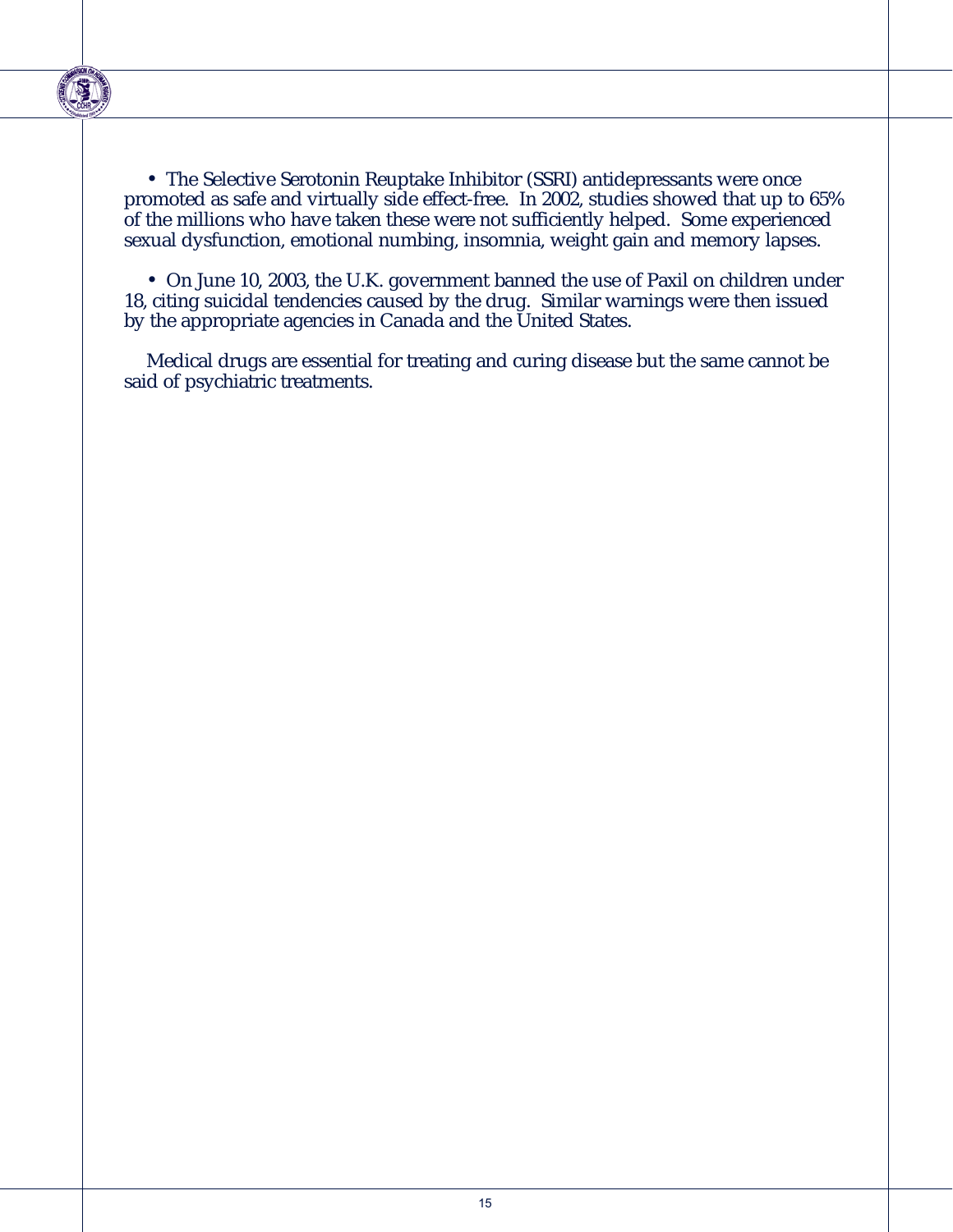

• The Selective Serotonin Reuptake Inhibitor (SSRI) antidepressants were once promoted as safe and virtually side effect-free. In 2002, studies showed that up to 65% of the millions who have taken these were not sufficiently helped. Some experienced sexual dysfunction, emotional numbing, insomnia, weight gain and memory lapses.

• On June 10, 2003, the U.K. government banned the use of Paxil on children under 18, citing suicidal tendencies caused by the drug. Similar warnings were then issued by the appropriate agencies in Canada and the United States.

Medical drugs are essential for treating and curing disease but the same cannot be said of psychiatric treatments.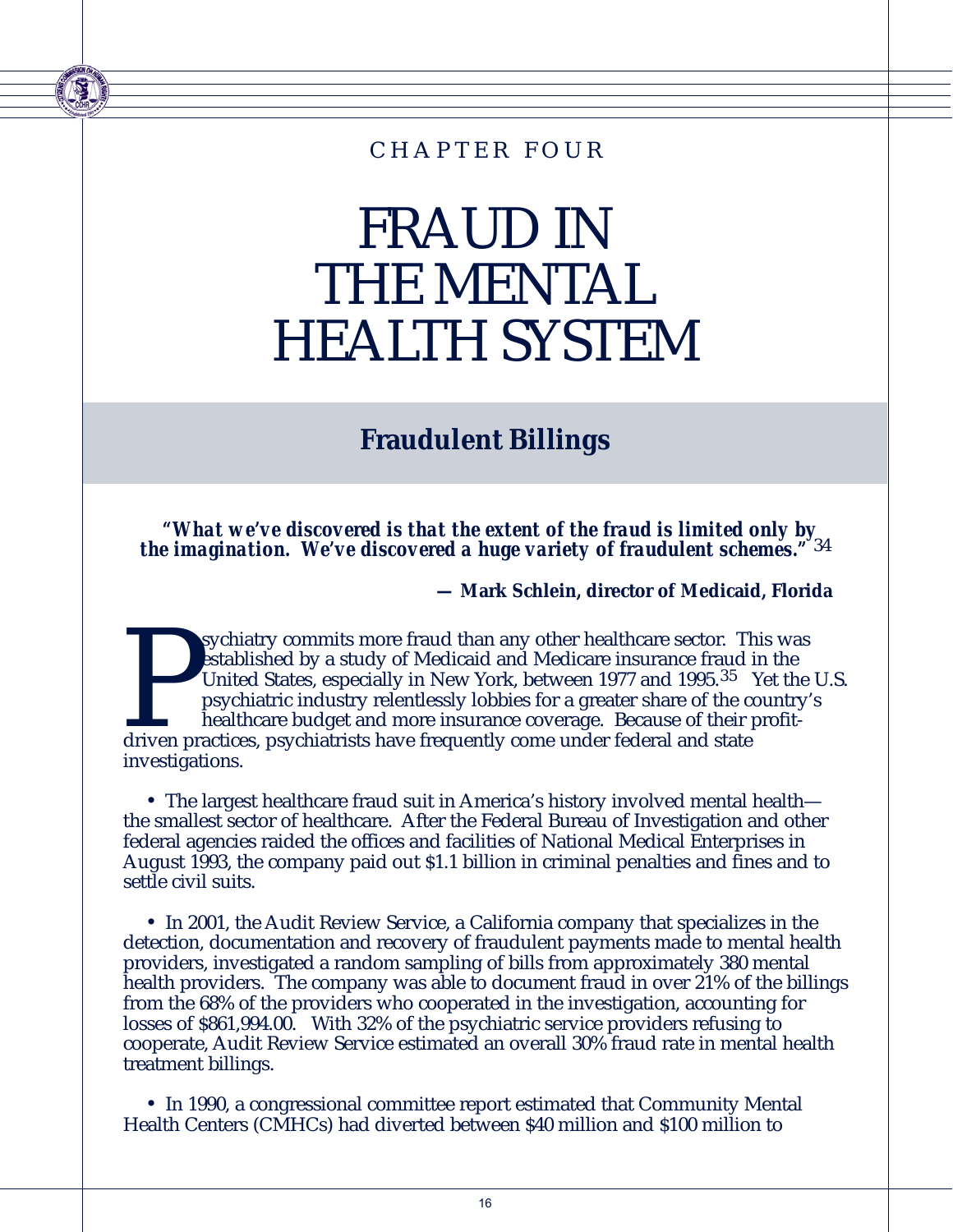### CHAPTER FOUR

## FRAUD IN THE MENTAL HEALTH SYSTEM

### **Fraudulent Billings**

*"What we've discovered is that the extent of the fraud is limited only by the imagination. We've discovered a huge variety of fraudulent schemes."* 34

**— Mark Schlein, director of Medicaid, Florida**

sychiatry commits more fraud than any other healthcare sector. This was established by a study of Medicaid and Medicare insurance fraud in the United States, especially in New York, between 1977 and 1995.<sup>35</sup> Yet the psych established by a study of Medicaid and Medicare insurance fraud in the United States, especially in New York, between 1977 and 1995.<sup>35</sup> Yet the U.S. psychiatric industry relentlessly lobbies for a greater share of the country's healthcare budget and more insurance coverage. Because of their profitdriven practices, psychiatrists have frequently come under federal and state investigations.

• The largest healthcare fraud suit in America's history involved mental health the smallest sector of healthcare. After the Federal Bureau of Investigation and other federal agencies raided the offices and facilities of National Medical Enterprises in August 1993, the company paid out \$1.1 billion in criminal penalties and fines and to settle civil suits.

• In 2001, the Audit Review Service, a California company that specializes in the detection, documentation and recovery of fraudulent payments made to mental health providers, investigated a random sampling of bills from approximately 380 mental health providers. The company was able to document fraud in over 21% of the billings from the 68% of the providers who cooperated in the investigation, accounting for losses of \$861,994.00. With 32% of the psychiatric service providers refusing to cooperate, Audit Review Service estimated an overall 30% fraud rate in mental health treatment billings.

• In 1990, a congressional committee report estimated that Community Mental Health Centers (CMHCs) had diverted between \$40 million and \$100 million to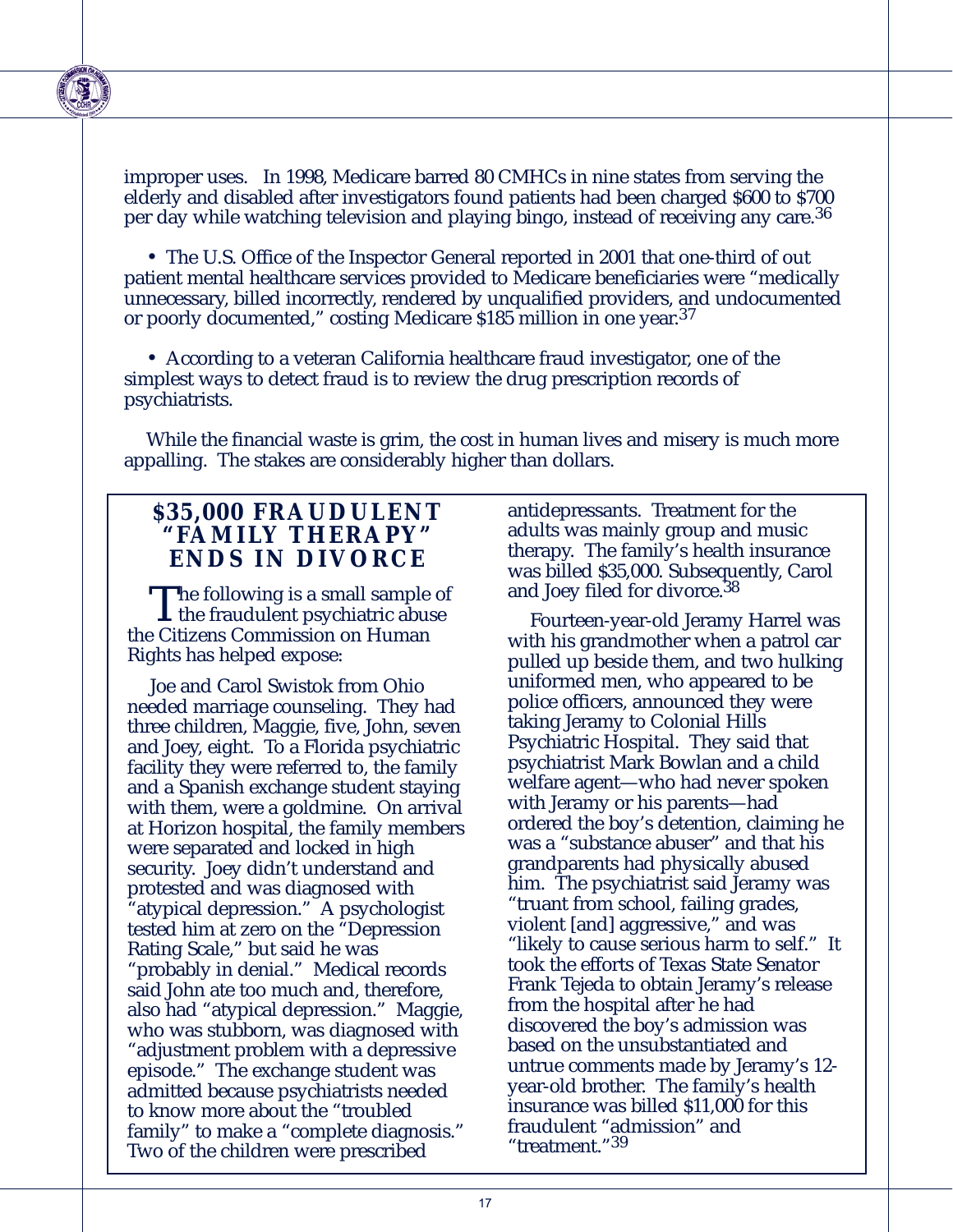improper uses. In 1998, Medicare barred 80 CMHCs in nine states from serving the elderly and disabled after investigators found patients had been charged \$600 to \$700 per day while watching television and playing bingo, instead of receiving any care.<sup>36</sup>

• The U.S. Office of the Inspector General reported in 2001 that one-third of out patient mental healthcare services provided to Medicare beneficiaries were "medically unnecessary, billed incorrectly, rendered by unqualified providers, and undocumented or poorly documented," costing Medicare \$185 million in one year.37

• According to a veteran California healthcare fraud investigator, one of the simplest ways to detect fraud is to review the drug prescription records of psychiatrists.

While the financial waste is grim, the cost in human lives and misery is much more appalling. The stakes are considerably higher than dollars.

#### **\$35,000 FRAUDULENT "FAMILY THERAPY" ENDS IN DIVORCE**

The following is a small sample of<br>the fraudulent psychiatric abuse<br>of *Citinary Commission* on Hymen the Citizens Commission on Human Rights has helped expose:

Joe and Carol Swistok from Ohio needed marriage counseling. They had three children, Maggie, five, John, seven and Joey, eight. To a Florida psychiatric facility they were referred to, the family and a Spanish exchange student staying with them, were a goldmine. On arrival at Horizon hospital, the family members were separated and locked in high security. Joey didn't understand and protested and was diagnosed with 'atypical depression." A psychologist tested him at zero on the "Depression Rating Scale," but said he was "probably in denial." Medical records said John ate too much and, therefore, also had "atypical depression." Maggie, who was stubborn, was diagnosed with "adjustment problem with a depressive episode." The exchange student was admitted because psychiatrists needed to know more about the "troubled family" to make a "complete diagnosis." Two of the children were prescribed

antidepressants. Treatment for the adults was mainly group and music therapy. The family's health insurance was billed \$35,000. Subsequently, Carol and Joey filed for divorce.<sup>38</sup>

Fourteen-year-old Jeramy Harrel was with his grandmother when a patrol car pulled up beside them, and two hulking uniformed men, who appeared to be police officers, announced they were taking Jeramy to Colonial Hills Psychiatric Hospital. They said that psychiatrist Mark Bowlan and a child welfare agent—who had never spoken with Jeramy or his parents—had ordered the boy's detention, claiming he was a "substance abuser" and that his grandparents had physically abused him. The psychiatrist said Jeramy was "truant from school, failing grades, violent [and] aggressive," and was "likely to cause serious harm to self." It took the efforts of Texas State Senator Frank Tejeda to obtain Jeramy's release from the hospital after he had discovered the boy's admission was based on the unsubstantiated and untrue comments made by Jeramy's 12 year-old brother. The family's health insurance was billed \$11,000 for this fraudulent "admission" and "treatment."39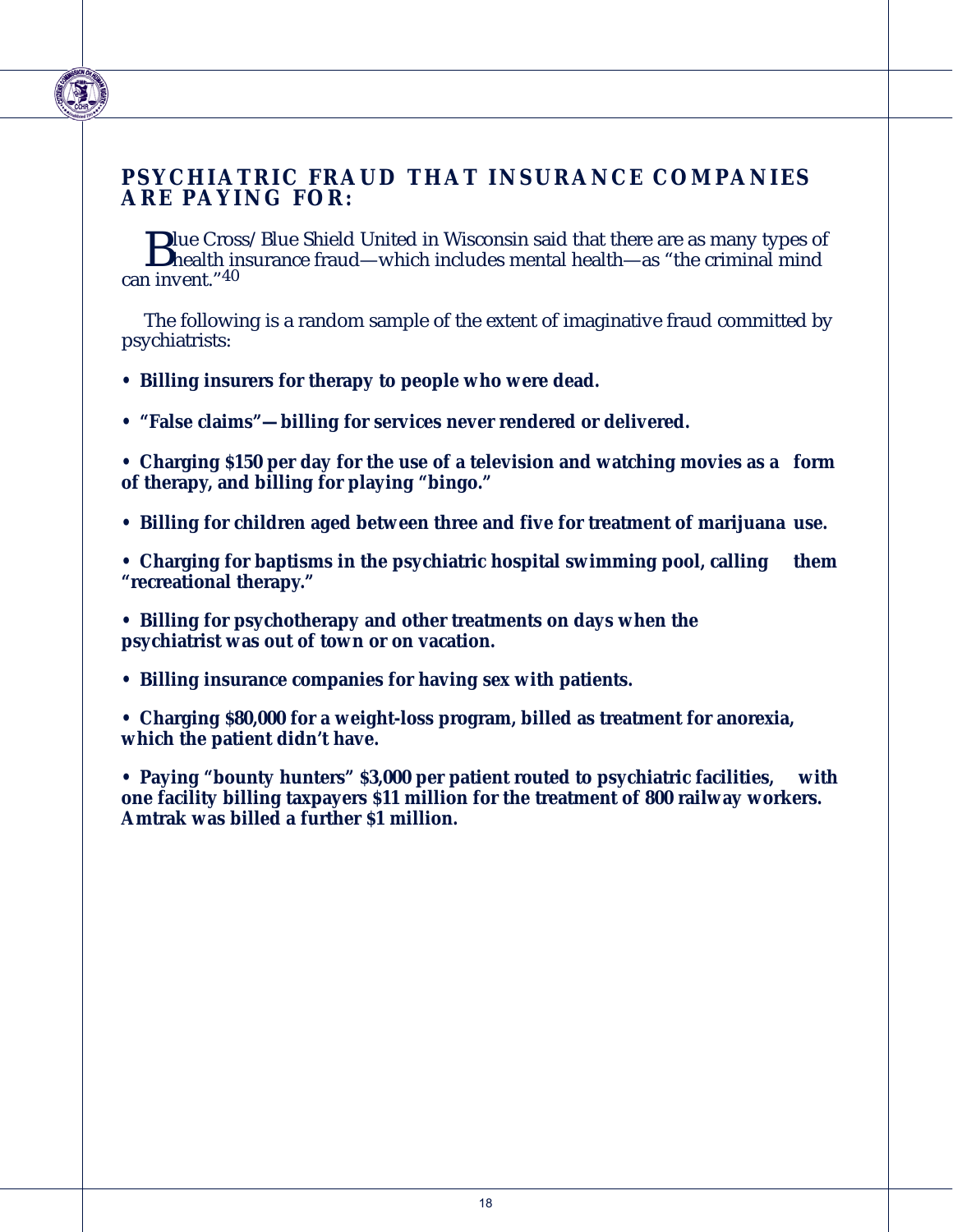#### **PSYCHIATRIC FRAUD THAT INSURANCE COMPANIES ARE PAYING FOR:**

**D**lue Cross/Blue Shield United in Wisconsin said that there are as many types of<br>health insurance fraud—which includes mental health—as "the criminal mind<br>a invent "40 can invent."40

The following is a random sample of the extent of imaginative fraud committed by psychiatrists:

- **Billing insurers for therapy to people who were dead.**
- **"False claims"—billing for services never rendered or delivered.**

**• Charging \$150 per day for the use of a television and watching movies as a form of therapy, and billing for playing "bingo."** 

- **Billing for children aged between three and five for treatment of marijuana use.**
- **Charging for baptisms in the psychiatric hospital swimming pool, calling them "recreational therapy."**
- **Billing for psychotherapy and other treatments on days when the psychiatrist was out of town or on vacation.**
- **Billing insurance companies for having sex with patients.**
- **Charging \$80,000 for a weight-loss program, billed as treatment for anorexia, which the patient didn't have.**

**• Paying "bounty hunters" \$3,000 per patient routed to psychiatric facilities, with one facility billing taxpayers \$11 million for the treatment of 800 railway workers. Amtrak was billed a further \$1 million.**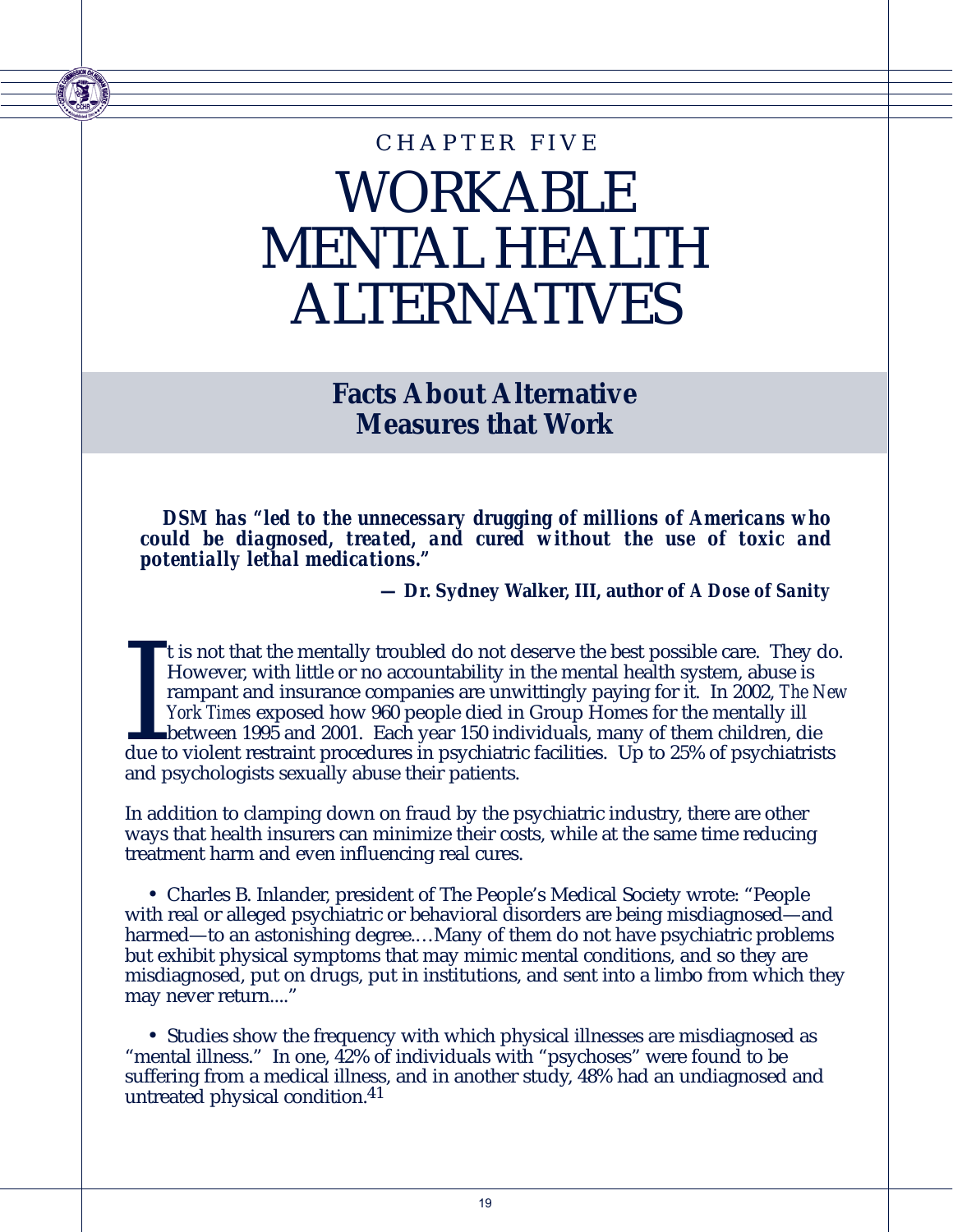## WORKABLE MENTAL HEALTH ALTERNATIVES CHAPTER FIVE

**Facts About Alternative Measures that Work**

*DSM has "led to the unnecessary drugging of millions of Americans who could be diagnosed, treated, and cured without the use of toxic and potentially lethal medications."* 

**— Dr. Sydney Walker, III, author of** *A Dose of Sanity*

It is not that the mentally troubled do not deserve the best possible care. They do<br>However, with little or no accountability in the mental health system, abuse is<br>rampant and insurance companies are unwittingly paying for t is not that the mentally troubled do not deserve the best possible care. They do. However, with little or no accountability in the mental health system, abuse is rampant and insurance companies are unwittingly paying for it. In 2002, *The New York Times* exposed how 960 people died in Group Homes for the mentally ill between 1995 and 2001. Each year 150 individuals, many of them children, die and psychologists sexually abuse their patients.

In addition to clamping down on fraud by the psychiatric industry, there are other ways that health insurers can minimize their costs, while at the same time reducing treatment harm and even influencing real cures.

• Charles B. Inlander, president of The People's Medical Society wrote: "People with real or alleged psychiatric or behavioral disorders are being misdiagnosed—and harmed—to an astonishing degree....Many of them do not have psychiatric problems but exhibit physical symptoms that may mimic mental conditions, and so they are misdiagnosed, put on drugs, put in institutions, and sent into a limbo from which they may never return...."

• Studies show the frequency with which physical illnesses are misdiagnosed as "mental illness." In one, 42% of individuals with "psychoses" were found to be suffering from a medical illness, and in another study, 48% had an undiagnosed and untreated physical condition.41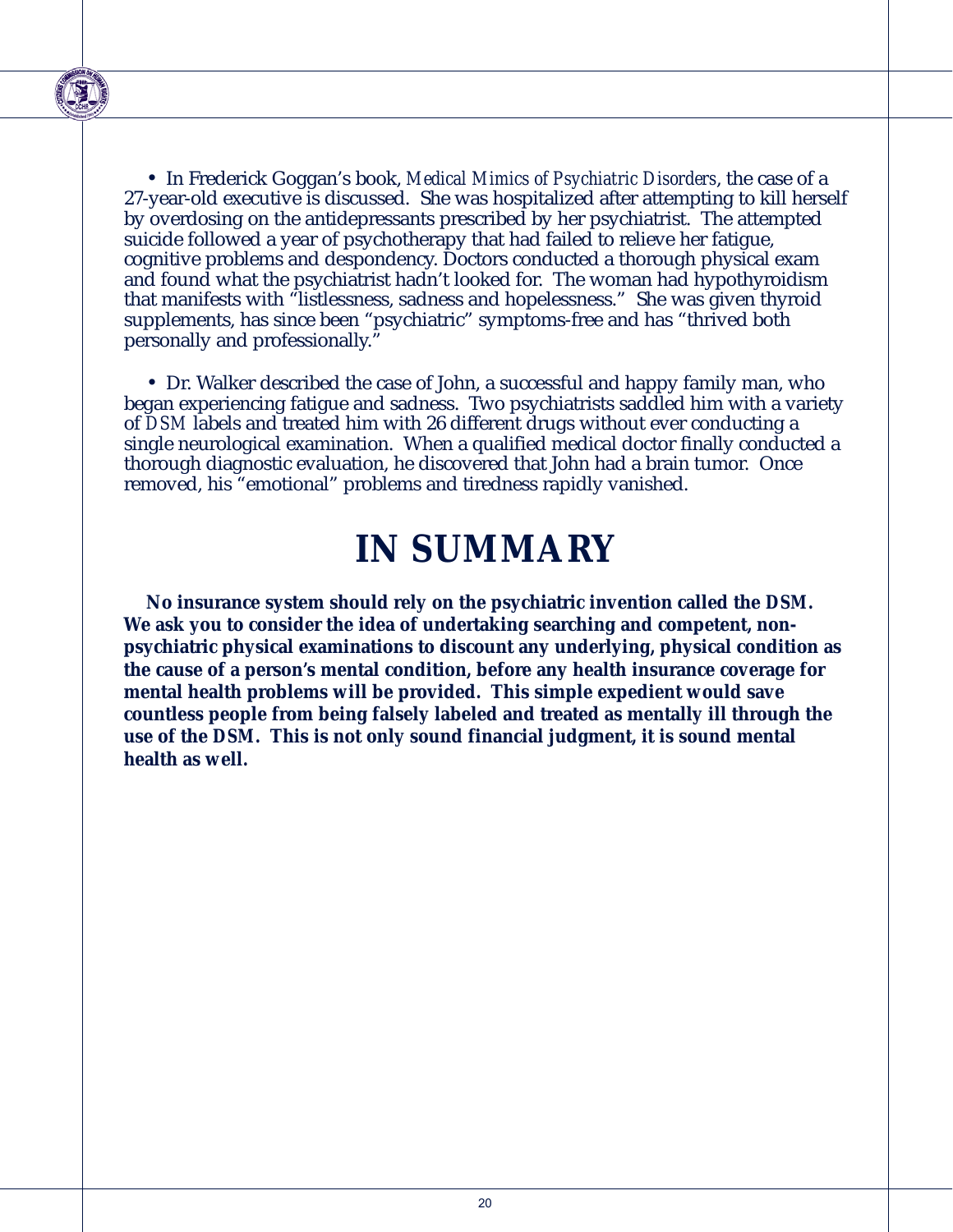

• In Frederick Goggan's book, *Medical Mimics of Psychiatric Disorders*, the case of a 27-year-old executive is discussed. She was hospitalized after attempting to kill herself by overdosing on the antidepressants prescribed by her psychiatrist. The attempted suicide followed a year of psychotherapy that had failed to relieve her fatigue, cognitive problems and despondency. Doctors conducted a thorough physical exam and found what the psychiatrist hadn't looked for. The woman had hypothyroidism that manifests with "listlessness, sadness and hopelessness." She was given thyroid supplements, has since been "psychiatric" symptoms-free and has "thrived both personally and professionally."

• Dr. Walker described the case of John, a successful and happy family man, who began experiencing fatigue and sadness. Two psychiatrists saddled him with a variety of *DSM* labels and treated him with 26 different drugs without ever conducting a single neurological examination. When a qualified medical doctor finally conducted a thorough diagnostic evaluation, he discovered that John had a brain tumor. Once removed, his "emotional" problems and tiredness rapidly vanished.

### **IN SUMMARY**

**No insurance system should rely on the psychiatric invention called the** *DSM***. We ask you to consider the idea of undertaking searching and competent, nonpsychiatric physical examinations to discount any underlying, physical condition as the cause of a person's mental condition, before any health insurance coverage for mental health problems will be provided. This simple expedient would save countless people from being falsely labeled and treated as mentally ill through the use of the** *DSM***. This is not only sound financial judgment, it is sound mental health as well.**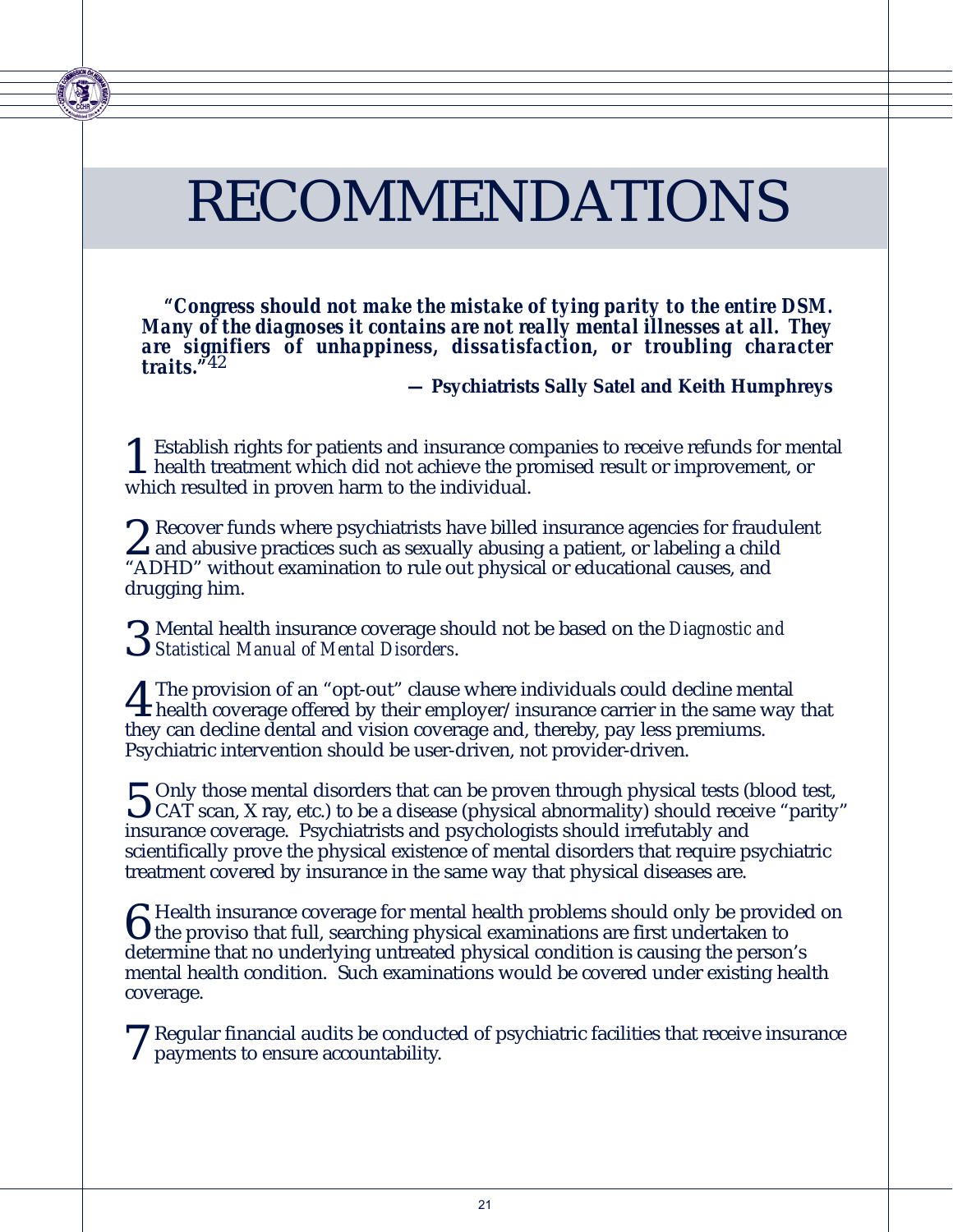## RECOMMENDATIONS

*"Congress should not make the mistake of tying parity to the entire DSM. Many of the diagnoses it contains are not really mental illnesses at all. They are signifiers of unhappiness, dissatisfaction, or troubling character traits."*42

**— Psychiatrists Sally Satel and Keith Humphreys**

**1** Establish rights for patients and insurance companies to receive refunds for mental<br>health treatment which did not achieve the promised result or improvement, or<br>which negated in proven harm to the individual which resulted in proven harm to the individual.

2 Recover funds where psychiatrists have billed insurance agencies for fraudulent<br>and abusive practices such as sexually abusing a patient, or labeling a child<br>"ADUD" without examination to rule out physical or educational "ADHD" without examination to rule out physical or educational causes, and drugging him.

3 Mental health insurance coverage should not be based on the *Diagnostic and Statistical Manual of Mental Disorders*.

The provision of an "opt-out" clause where individuals could decline mental<br>health coverage offered by their employer/insurance carrier in the same way that<br>they gave decline dental and vision equange and thereby noveless they can decline dental and vision coverage and, thereby, pay less premiums. Psychiatric intervention should be user-driven, not provider-driven.

 $\sum$  Only those mental disorders that can be proven through physical tests (blood test,  $\mathbf{U}$  CAT scan, X ray, etc.) to be a disease (physical abnormality) should receive "parity" insurance coverage. Psychiatrists and psychologists should irrefutably and scientifically prove the physical existence of mental disorders that require psychiatric treatment covered by insurance in the same way that physical diseases are.

 $\bf{6}$  Health insurance coverage for mental health problems should only be provided on<br>the proviso that full, searching physical examinations are first undertaken to<br>determine that no underlying untrasted physical condit determine that no underlying untreated physical condition is causing the person's mental health condition. Such examinations would be covered under existing health coverage.

7 Regular financial audits be conducted of psychiatric facilities that receive insurance payments to ensure accountability.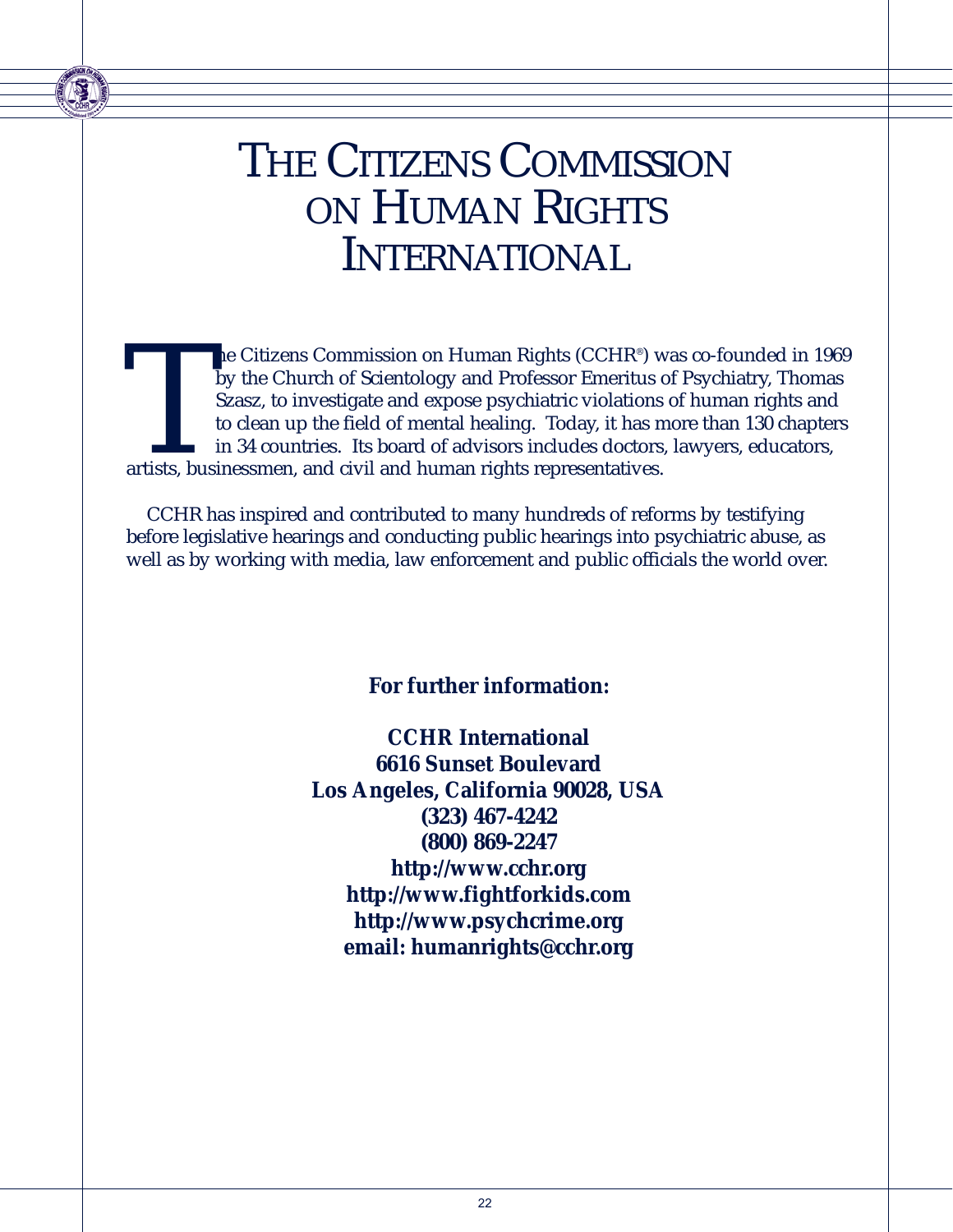### THE CITIZENS COMMISSION ON HUMAN RIGHTS INTERNATIONAL

The Citizens Commission on Human Rights (CCHR®) was co-founded in 1969<br>by the Church of Scientology and Professor Emeritus of Psychiatry, Thomas<br>Szasz, to investigate and expose psychiatric violations of human rights and<br>t by the Church of Scientology and Professor Emeritus of Psychiatry, Thomas Szasz, to investigate and expose psychiatric violations of human rights and to clean up the field of mental healing. Today, it has more than 130 chapters in 34 countries. Its board of advisors includes doctors, lawyers, educators, artists, businessmen, and civil and human rights representatives.

CCHR has inspired and contributed to many hundreds of reforms by testifying before legislative hearings and conducting public hearings into psychiatric abuse, as well as by working with media, law enforcement and public officials the world over.

#### **For further information:**

**CCHR International 6616 Sunset Boulevard Los Angeles, California 90028, USA (323) 467-4242 (800) 869-2247 http://www.cchr.org http://www.fightforkids.com http://www.psychcrime.org email: humanrights@cchr.org**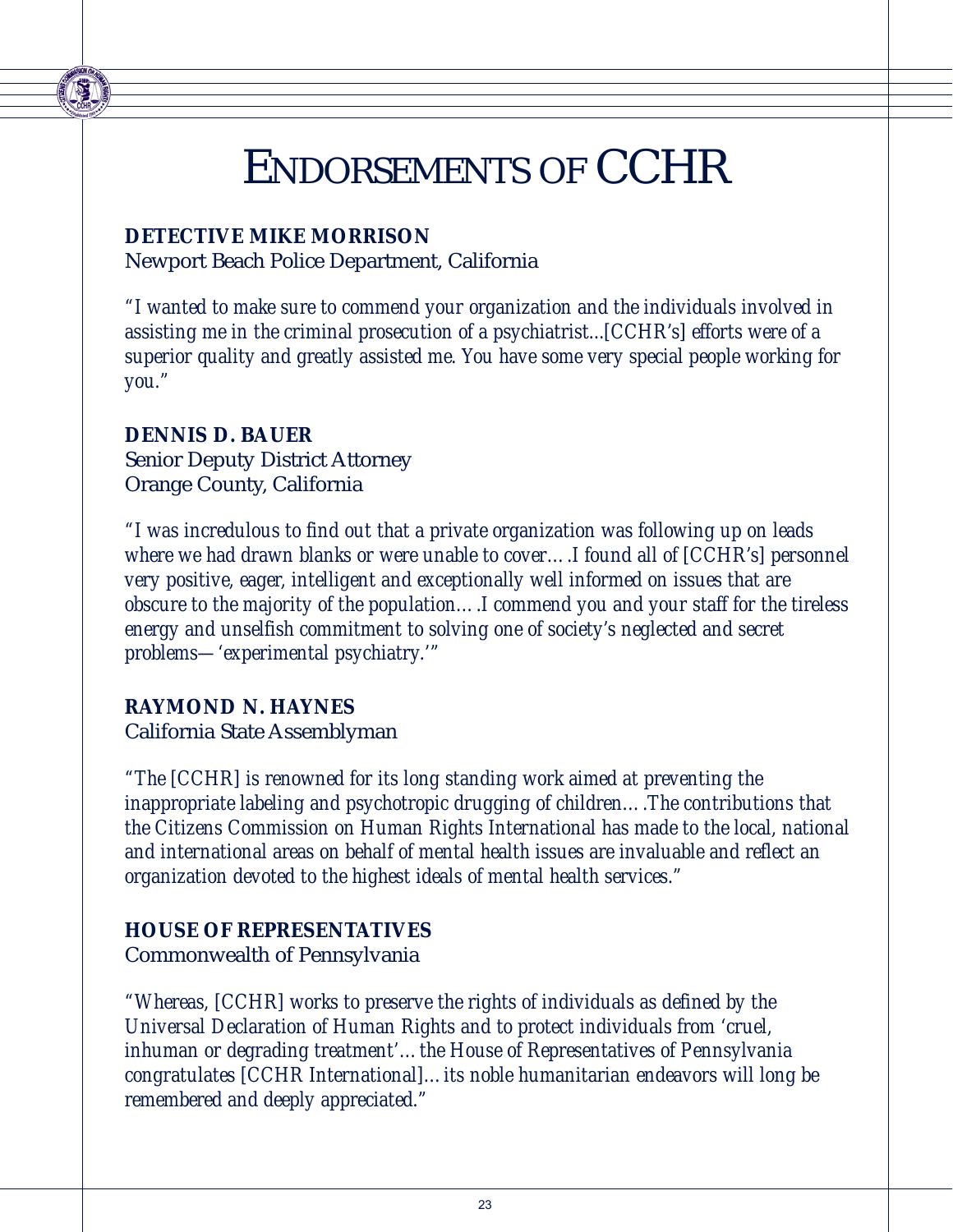### ENDORSEMENTS OF CCHR

#### **DETECTIVE MIKE MORRISON**

Newport Beach Police Department, California

*"I wanted to make sure to commend your organization and the individuals involved in assisting me in the criminal prosecution of a psychiatrist...[CCHR's] efforts were of a superior quality and greatly assisted me. You have some very special people working for you."*

#### **DENNIS D. BAUER**

Senior Deputy District Attorney Orange County, California

*"I was incredulous to find out that a private organization was following up on leads where we had drawn blanks or were unable to cover….I found all of [CCHR's] personnel very positive, eager, intelligent and exceptionally well informed on issues that are obscure to the majority of the population….I commend you and your staff for the tireless energy and unselfish commitment to solving one of society's neglected and secret problems—'experimental psychiatry.'"*

#### **RAYMOND N. HAYNES**

California State Assemblyman

*"The [CCHR] is renowned for its long standing work aimed at preventing the inappropriate labeling and psychotropic drugging of children….The contributions that the Citizens Commission on Human Rights International has made to the local, national and international areas on behalf of mental health issues are invaluable and reflect an organization devoted to the highest ideals of mental health services."*

#### **HOUSE OF REPRESENTATIVES**

Commonwealth of Pennsylvania

*"Whereas, [CCHR] works to preserve the rights of individuals as defined by the Universal Declaration of Human Rights and to protect individuals from 'cruel, inhuman or degrading treatment'…the House of Representatives of Pennsylvania congratulates [CCHR International]…its noble humanitarian endeavors will long be remembered and deeply appreciated."*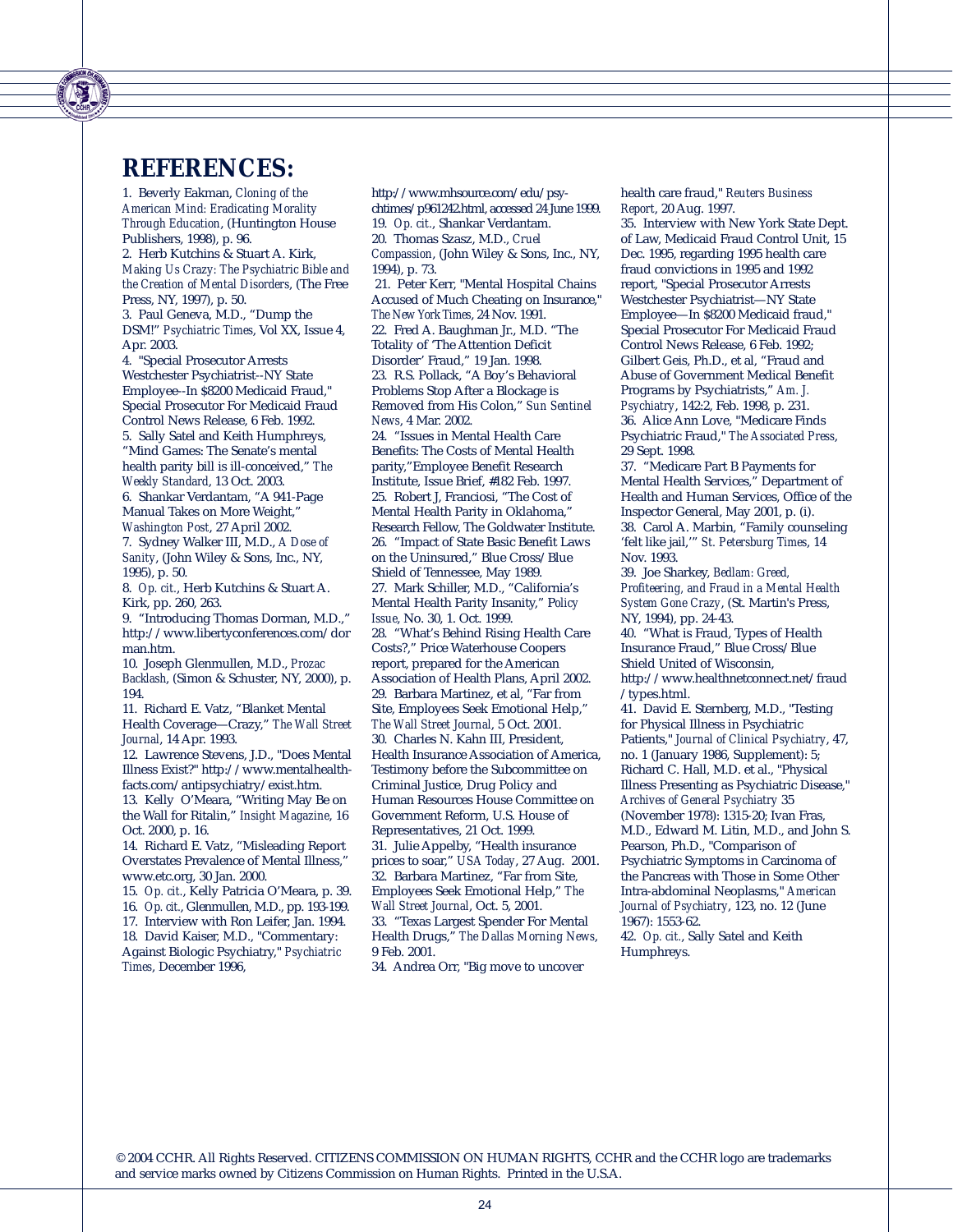### **REFERENCES:**

1. Beverly Eakman, *Cloning of the American Mind: Eradicating Morality Through Education*, (Huntington House Publishers, 1998), p. 96.

2. Herb Kutchins & Stuart A. Kirk, *Making Us Crazy: The Psychiatric Bible and the Creation of Mental Disorders*, (The Free Press, NY, 1997), p. 50.

3. Paul Geneva, M.D., "Dump the DSM!" *Psychiatric Times*, Vol XX, Issue 4, Apr. 2003.

4. "Special Prosecutor Arrests Westchester Psychiatrist--NY State Employee--In \$8200 Medicaid Fraud," Special Prosecutor For Medicaid Fraud Control News Release, 6 Feb. 1992. 5. Sally Satel and Keith Humphreys, "Mind Games: The Senate's mental health parity bill is ill-conceived," *The Weekly Standard*, 13 Oct. 2003. 6. Shankar Verdantam, "A 941-Page Manual Takes on More Weight,"

*Washington Post*, 27 April 2002. 7. Sydney Walker III, M.D., *A Dose of Sanity*, (John Wiley & Sons, Inc., NY, 1995), p. 50.

8. *Op. cit.*, Herb Kutchins & Stuart A. Kirk, pp. 260, 263.

9. "Introducing Thomas Dorman, M.D.," http://www.libertyconferences.com/dor man.htm.

10. Joseph Glenmullen, M.D., *Prozac Backlash*, (Simon & Schuster, NY, 2000), p. 194.

11. Richard E. Vatz, "Blanket Mental Health Coverage—Crazy," *The Wall Street Journal*, 14 Apr. 1993.

12. Lawrence Stevens, J.D., "Does Mental Illness Exist?" http://www.mentalhealthfacts.com/antipsychiatry/exist.htm. 13. Kelly O'Meara, "Writing May Be on

the Wall for Ritalin," *Insight Magazine*, 16 Oct. 2000, p. 16. 14. Richard E. Vatz, "Misleading Report

Overstates Prevalence of Mental Illness," www.etc.org, 30 Jan. 2000.

15. *Op. cit.*, Kelly Patricia O'Meara, p. 39. 16. *Op. cit.*, Glenmullen, M.D., pp. 193-199. 17. Interview with Ron Leifer, Jan. 1994.

18. David Kaiser, M.D., "Commentary:

Against Biologic Psychiatry," *Psychiatric Times*, December 1996,

chtimes/p961242.html, accessed 24 June 1999. 19. *Op. cit.*, Shankar Verdantam. 20. Thomas Szasz, M.D., *Cruel Compassion*, (John Wiley & Sons, Inc., NY, 1994), p. 73. 21. Peter Kerr, "Mental Hospital Chains Accused of Much Cheating on Insurance," *The New York Times*, 24 Nov. 1991. 22. Fred A. Baughman Jr., M.D. "The Totality of 'The Attention Deficit Disorder' Fraud," 19 Jan. 1998. 23. R.S. Pollack, "A Boy's Behavioral Problems Stop After a Blockage is Removed from His Colon," *Sun Sentinel News*, 4 Mar. 2002. 24. "Issues in Mental Health Care Benefits: The Costs of Mental Health parity,"Employee Benefit Research Institute, Issue Brief, #182 Feb. 1997. 25. Robert J, Franciosi, "The Cost of Mental Health Parity in Oklahoma," Research Fellow, The Goldwater Institute. 26. "Impact of State Basic Benefit Laws on the Uninsured," Blue Cross/Blue Shield of Tennessee, May 1989. 27. Mark Schiller, M.D., "California's Mental Health Parity Insanity," P*olicy Issue*, No. 30, 1. Oct. 1999. 28. "What's Behind Rising Health Care Costs?," Price Waterhouse Coopers report, prepared for the American Association of Health Plans, April 2002. 29. Barbara Martinez, et al, "Far from Site, Employees Seek Emotional Help," *The Wall Street Journal*, 5 Oct. 2001. 30. Charles N. Kahn III, President, Health Insurance Association of America, Testimony before the Subcommittee on Criminal Justice, Drug Policy and Human Resources House Committee on Government Reform, U.S. House of Representatives, 21 Oct. 1999. 31. Julie Appelby, "Health insurance prices to soar," *USA Today*, 27 Aug. 2001. 32. Barbara Martinez, "Far from Site, Employees Seek Emotional Help," *The Wall Street Journal*, Oct. 5, 2001.

http://www.mhsource.com/edu/psy-

33. "Texas Largest Spender For Mental Health Drugs," *The Dallas Morning News*, 9 Feb. 2001.

34. Andrea Orr, "Big move to uncover

#### health care fraud," *Reuters Business Report*, 20 Aug. 1997.

35. Interview with New York State Dept. of Law, Medicaid Fraud Control Unit, 15 Dec. 1995, regarding 1995 health care fraud convictions in 1995 and 1992 report, "Special Prosecutor Arrests Westchester Psychiatrist—NY State Employee—In \$8200 Medicaid fraud," Special Prosecutor For Medicaid Fraud Control News Release, 6 Feb. 1992; Gilbert Geis, Ph.D., et al, "Fraud and Abuse of Government Medical Benefit Programs by Psychiatrists," *Am. J. Psychiatry*, 142:2, Feb. 1998, p. 231. 36. Alice Ann Love, "Medicare Finds Psychiatric Fraud," *The Associated Press*, 29 Sept. 1998.

37. "Medicare Part B Payments for Mental Health Services," Department of Health and Human Services, Office of the Inspector General, May 2001, p. (i). 38. Carol A. Marbin, "Family counseling 'felt like jail,'" *St. Petersburg Times*, 14 Nov. 1993.

39. Joe Sharkey, *Bedlam: Greed, Profiteering, and Fraud in a Mental Health System Gone Crazy*, (St. Martin's Press, NY, 1994), pp. 24-43.

40. "What is Fraud, Types of Health Insurance Fraud," Blue Cross/Blue Shield United of Wisconsin, http://www.healthnetconnect.net/fraud

/types.html. 41. David E. Sternberg, M.D., "Testing

for Physical Illness in Psychiatric Patients," *Journal of Clinical Psychiatry*, 47, no. 1 (January 1986, Supplement): 5; Richard C. Hall, M.D. et al., "Physical Illness Presenting as Psychiatric Disease," *Archives of General Psychiatry* 35 (November 1978): 1315-20; Ivan Fras, M.D., Edward M. Litin, M.D., and John S. Pearson, Ph.D., "Comparison of Psychiatric Symptoms in Carcinoma of the Pancreas with Those in Some Other Intra-abdominal Neoplasms," *American Journal of Psychiatry*, 123, no. 12 (June 1967): 1553-62.

42. *Op. cit.*, Sally Satel and Keith Humphreys.

© 2004 CCHR. All Rights Reserved. CITIZENS COMMISSION ON HUMAN RIGHTS, CCHR and the CCHR logo are trademarks and service marks owned by Citizens Commission on Human Rights. Printed in the U.S.A.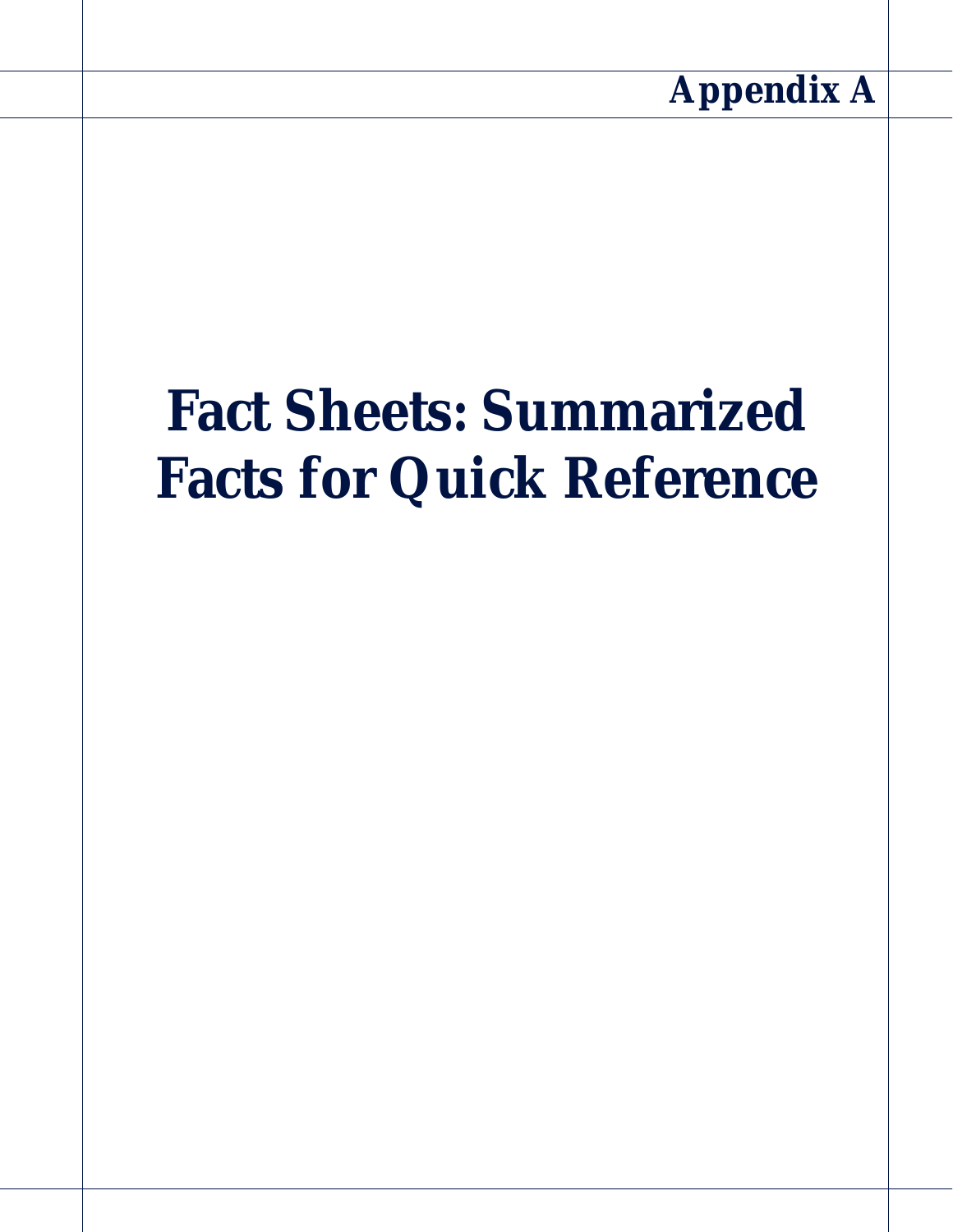# **Fact Sheets: Summarized Facts for Quick Reference**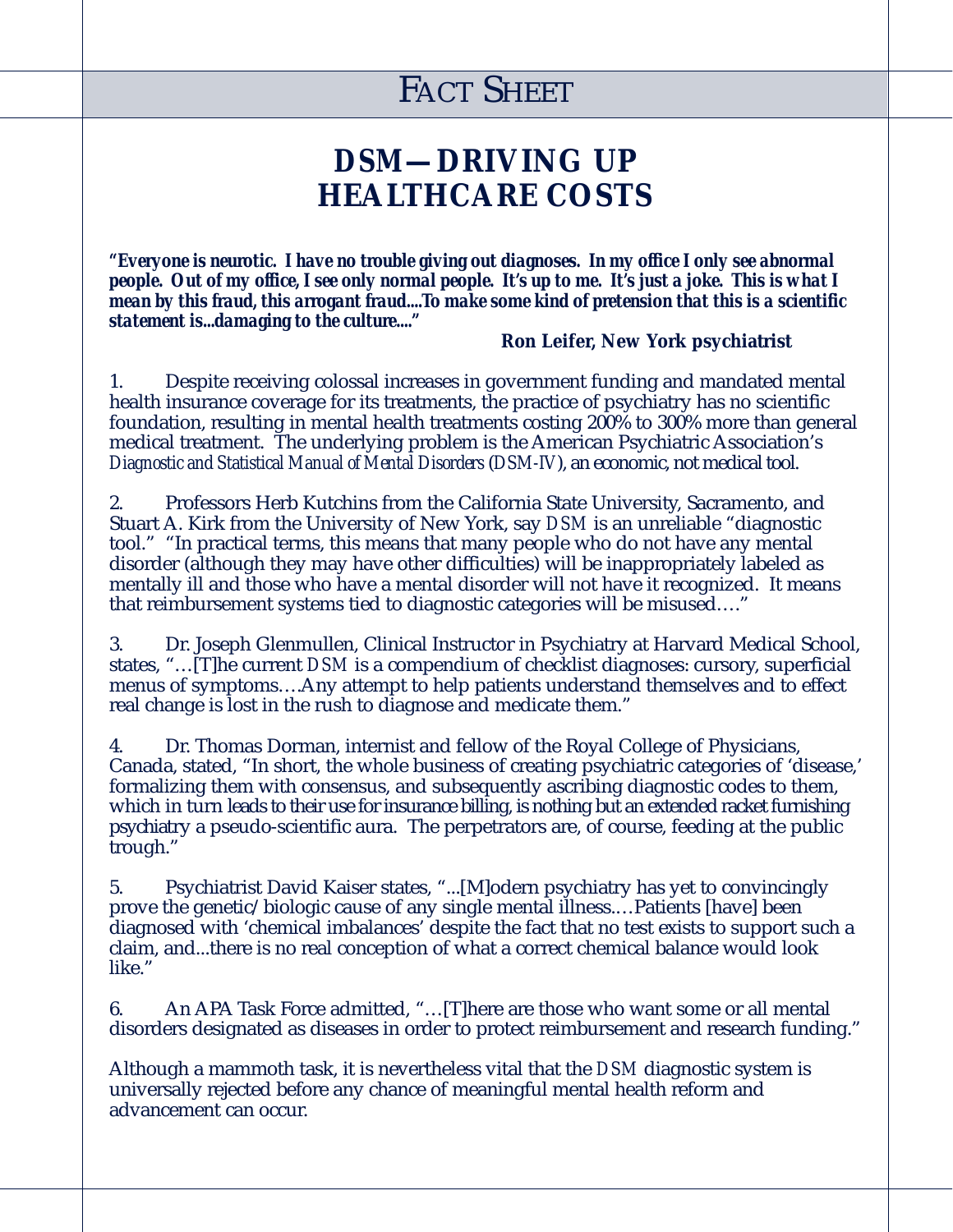### *DSM***—DRIVING UP HEALTHCARE COSTS**

*"Everyone is neurotic. I have no trouble giving out diagnoses. In my office I only see abnormal people. Out of my office, I see only normal people. It's up to me. It's just a joke. This is what I mean by this fraud, this arrogant fraud....To make some kind of pretension that this is a scientific statement is...damaging to the culture...."*

#### **Ron Leifer, New York psychiatrist**

1. Despite receiving colossal increases in government funding and mandated mental health insurance coverage for its treatments, the practice of psychiatry has no scientific foundation, resulting in mental health treatments costing 200% to 300% more than general medical treatment. The underlying problem is the American Psychiatric Association's *Diagnostic and Statistical Manual of Mental Disorders*(*DSM-IV*), an economic, not medical tool.

2. Professors Herb Kutchins from the California State University, Sacramento, and Stuart A. Kirk from the University of New York, say *DSM* is an unreliable "diagnostic tool." "In practical terms, this means that many people who do not have any mental disorder (although they may have other difficulties) will be inappropriately labeled as mentally ill and those who have a mental disorder will not have it recognized. It means that reimbursement systems tied to diagnostic categories will be misused…."

3. Dr. Joseph Glenmullen, Clinical Instructor in Psychiatry at Harvard Medical School, states, "…[T]he current *DSM* is a compendium of checklist diagnoses: cursory, superficial menus of symptoms….Any attempt to help patients understand themselves and to effect real change is lost in the rush to diagnose and medicate them."

4. Dr. Thomas Dorman, internist and fellow of the Royal College of Physicians, Canada, stated, "In short, the whole business of creating psychiatric categories of 'disease,' formalizing them with consensus, and subsequently ascribing diagnostic codes to them, which in turn leads to their use for insurance billing, is nothing but an extended racket furnishing psychiatry a pseudo-scientific aura. The perpetrators are, of course, feeding at the public trough."

5. Psychiatrist David Kaiser states, "...[M]odern psychiatry has yet to convincingly prove the genetic/biologic cause of any single mental illness.…Patients [have] been diagnosed with 'chemical imbalances' despite the fact that no test exists to support such a claim, and...there is no real conception of what a correct chemical balance would look like."

6. An APA Task Force admitted, "…[T]here are those who want some or all mental disorders designated as diseases in order to protect reimbursement and research funding."

Although a mammoth task, it is nevertheless vital that the *DSM* diagnostic system is universally rejected before any chance of meaningful mental health reform and advancement can occur.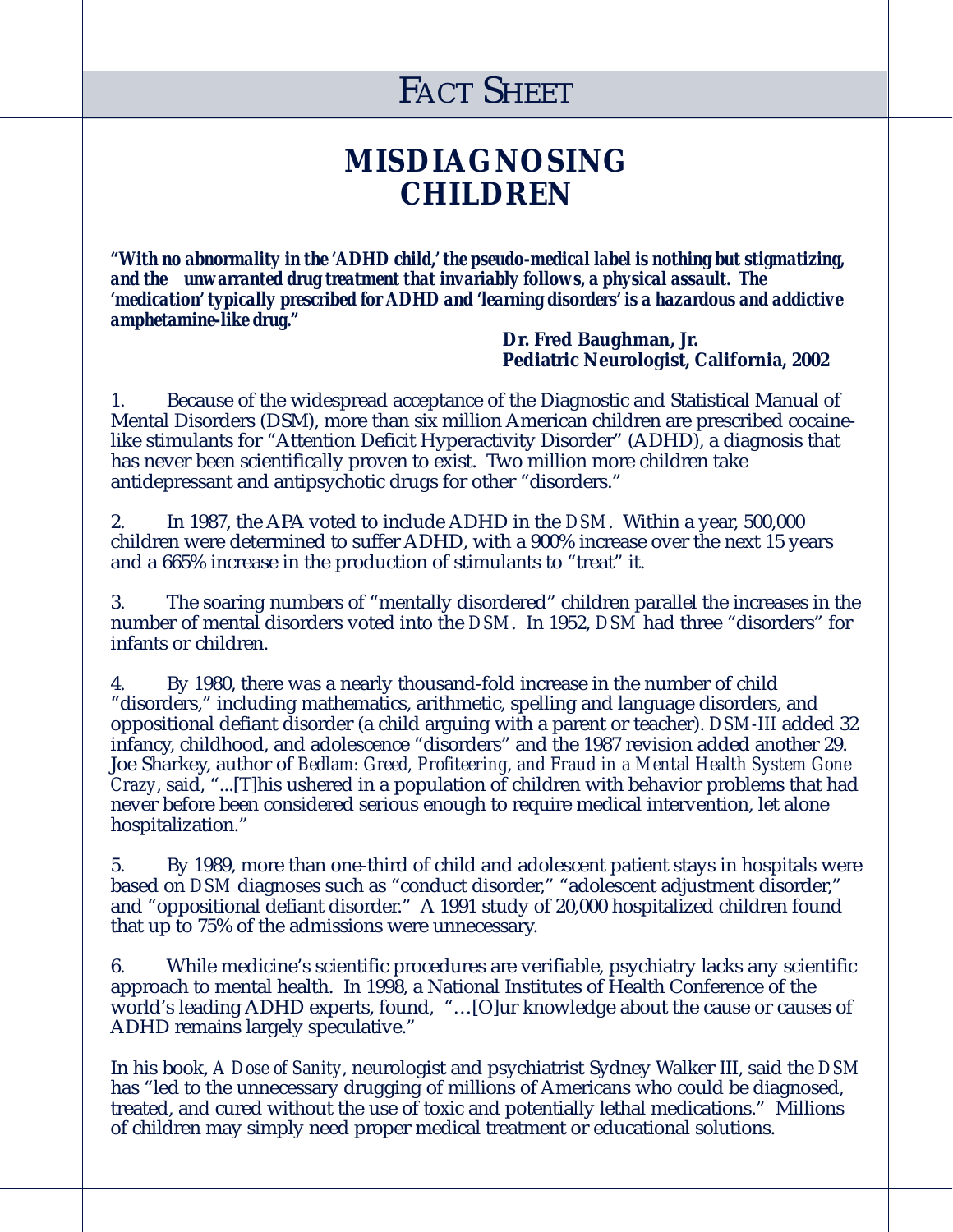### **MISDIAGNOSING CHILDREN**

*"With no abnormality in the 'ADHD child,' the pseudo-medical label is nothing but stigmatizing, and the unwarranted drug treatment that invariably follows, a physical assault. The 'medication' typically prescribed for ADHD and 'learning disorders' is a hazardous and addictive amphetamine-like drug."*

**Dr. Fred Baughman, Jr. Pediatric Neurologist, California, 2002**

1. Because of the widespread acceptance of the Diagnostic and Statistical Manual of Mental Disorders (DSM), more than six million American children are prescribed cocainelike stimulants for "Attention Deficit Hyperactivity Disorder" (ADHD), a diagnosis that has never been scientifically proven to exist. Two million more children take antidepressant and antipsychotic drugs for other "disorders."

2. In 1987, the APA voted to include ADHD in the *DSM*. Within a year, 500,000 children were determined to suffer ADHD, with a 900% increase over the next 15 years and a 665% increase in the production of stimulants to "treat" it.

3. The soaring numbers of "mentally disordered" children parallel the increases in the number of mental disorders voted into the *DSM*. In 1952, *DSM* had three "disorders" for infants or children.

4. By 1980, there was a nearly thousand-fold increase in the number of child "disorders," including mathematics, arithmetic, spelling and language disorders, and oppositional defiant disorder (a child arguing with a parent or teacher). *DSM-III* added 32 infancy, childhood, and adolescence "disorders" and the 1987 revision added another 29. Joe Sharkey, author of *Bedlam: Greed, Profiteering, and Fraud in a Mental Health System Gone Crazy*, said, "...[T]his ushered in a population of children with behavior problems that had never before been considered serious enough to require medical intervention, let alone hospitalization."

5. By 1989, more than one-third of child and adolescent patient stays in hospitals were based on *DSM* diagnoses such as "conduct disorder," "adolescent adjustment disorder," and "oppositional defiant disorder." A 1991 study of 20,000 hospitalized children found that up to 75% of the admissions were unnecessary.

6. While medicine's scientific procedures are verifiable, psychiatry lacks any scientific approach to mental health. In 1998, a National Institutes of Health Conference of the world's leading ADHD experts, found, "...[O]ur knowledge about the cause or causes of ADHD remains largely speculative."

In his book, *A Dose of Sanity*, neurologist and psychiatrist Sydney Walker III, said the *DSM* has "led to the unnecessary drugging of millions of Americans who could be diagnosed, treated, and cured without the use of toxic and potentially lethal medications." Millions of children may simply need proper medical treatment or educational solutions.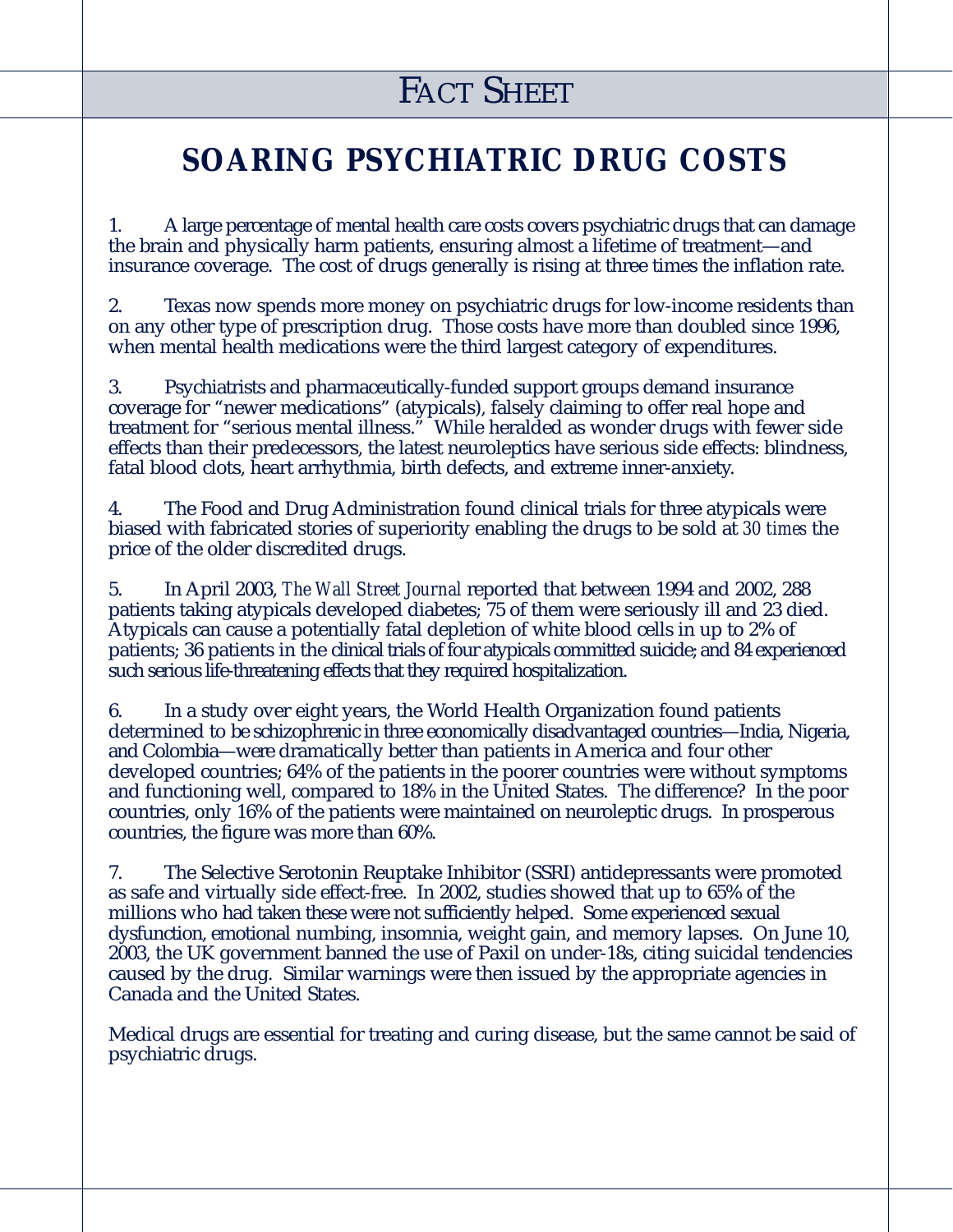### **SOARING PSYCHIATRIC DRUG COSTS**

1. A large percentage of mental health care costs covers psychiatric drugs that can damage the brain and physically harm patients, ensuring almost a lifetime of treatment—and insurance coverage. The cost of drugs generally is rising at three times the inflation rate.

2. Texas now spends more money on psychiatric drugs for low-income residents than on any other type of prescription drug. Those costs have more than doubled since 1996, when mental health medications were the third largest category of expenditures.

3. Psychiatrists and pharmaceutically-funded support groups demand insurance coverage for "newer medications" (atypicals), falsely claiming to offer real hope and treatment for "serious mental illness." While heralded as wonder drugs with fewer side effects than their predecessors, the latest neuroleptics have serious side effects: blindness, fatal blood clots, heart arrhythmia, birth defects, and extreme inner-anxiety.

4. The Food and Drug Administration found clinical trials for three atypicals were biased with fabricated stories of superiority enabling the drugs to be sold at *30 times* the price of the older discredited drugs.

5. In April 2003, *The Wall Street Journal* reported that between 1994 and 2002, 288 patients taking atypicals developed diabetes; 75 of them were seriously ill and 23 died. Atypicals can cause a potentially fatal depletion of white blood cells in up to 2% of patients; 36 patients in the clinical trials of four atypicals committed suicide; and 84 experienced such serious life-threatening effects that they required hospitalization.

6. In a study over eight years, the World Health Organization found patients determined to be schizophrenic in three economically disadvantaged countries—India, Nigeria, and Colombia—were dramatically better than patients in America and four other developed countries; 64% of the patients in the poorer countries were without symptoms and functioning well, compared to 18% in the United States. The difference? In the poor countries, only 16% of the patients were maintained on neuroleptic drugs. In prosperous countries, the figure was more than 60%.

7. The Selective Serotonin Reuptake Inhibitor (SSRI) antidepressants were promoted as safe and virtually side effect-free. In 2002, studies showed that up to 65% of the millions who had taken these were not sufficiently helped. Some experienced sexual dysfunction, emotional numbing, insomnia, weight gain, and memory lapses. On June 10, 2003, the UK government banned the use of Paxil on under-18s, citing suicidal tendencies caused by the drug. Similar warnings were then issued by the appropriate agencies in Canada and the United States.

Medical drugs are essential for treating and curing disease, but the same cannot be said of psychiatric drugs.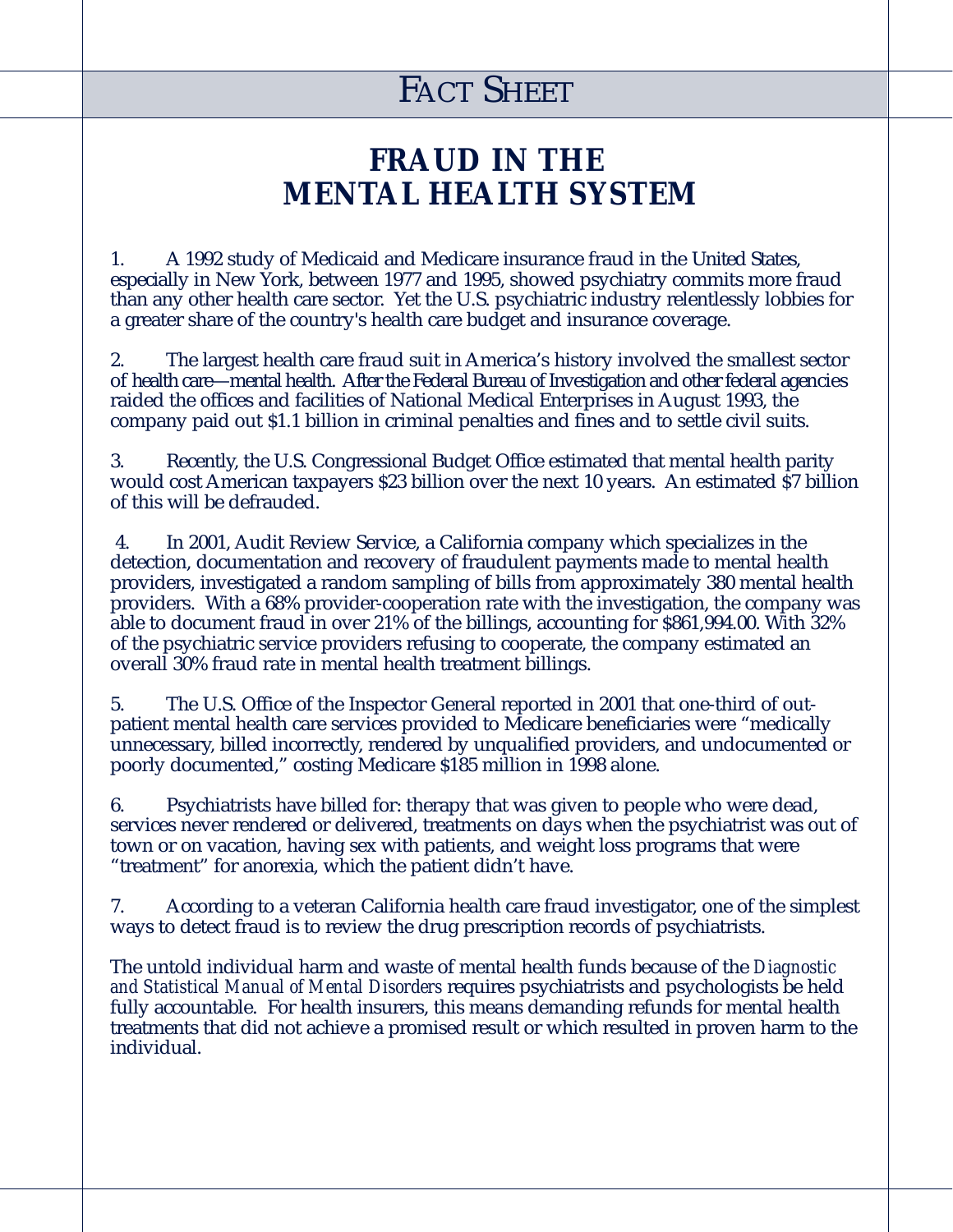### **FRAUD IN THE MENTAL HEALTH SYSTEM**

1. A 1992 study of Medicaid and Medicare insurance fraud in the United States, especially in New York, between 1977 and 1995, showed psychiatry commits more fraud than any other health care sector. Yet the U.S. psychiatric industry relentlessly lobbies for a greater share of the country's health care budget and insurance coverage.

2. The largest health care fraud suit in America's history involved the smallest sector of health care—mental health. After the Federal Bureau of Investigation and other federal agencies raided the offices and facilities of National Medical Enterprises in August 1993, the company paid out \$1.1 billion in criminal penalties and fines and to settle civil suits.

3. Recently, the U.S. Congressional Budget Office estimated that mental health parity would cost American taxpayers \$23 billion over the next 10 years. An estimated \$7 billion of this will be defrauded.

4. In 2001, Audit Review Service, a California company which specializes in the detection, documentation and recovery of fraudulent payments made to mental health providers, investigated a random sampling of bills from approximately 380 mental health providers. With a 68% provider-cooperation rate with the investigation, the company was able to document fraud in over 21% of the billings, accounting for \$861,994.00. With 32% of the psychiatric service providers refusing to cooperate, the company estimated an overall 30% fraud rate in mental health treatment billings.

5. The U.S. Office of the Inspector General reported in 2001 that one-third of outpatient mental health care services provided to Medicare beneficiaries were "medically unnecessary, billed incorrectly, rendered by unqualified providers, and undocumented or poorly documented," costing Medicare \$185 million in 1998 alone.

6. Psychiatrists have billed for: therapy that was given to people who were dead, services never rendered or delivered, treatments on days when the psychiatrist was out of town or on vacation, having sex with patients, and weight loss programs that were "treatment" for anorexia, which the patient didn't have.

7. According to a veteran California health care fraud investigator, one of the simplest ways to detect fraud is to review the drug prescription records of psychiatrists.

The untold individual harm and waste of mental health funds because of the *Diagnostic and Statistical Manual of Mental Disorders* requires psychiatrists and psychologists be held fully accountable. For health insurers, this means demanding refunds for mental health treatments that did not achieve a promised result or which resulted in proven harm to the individual.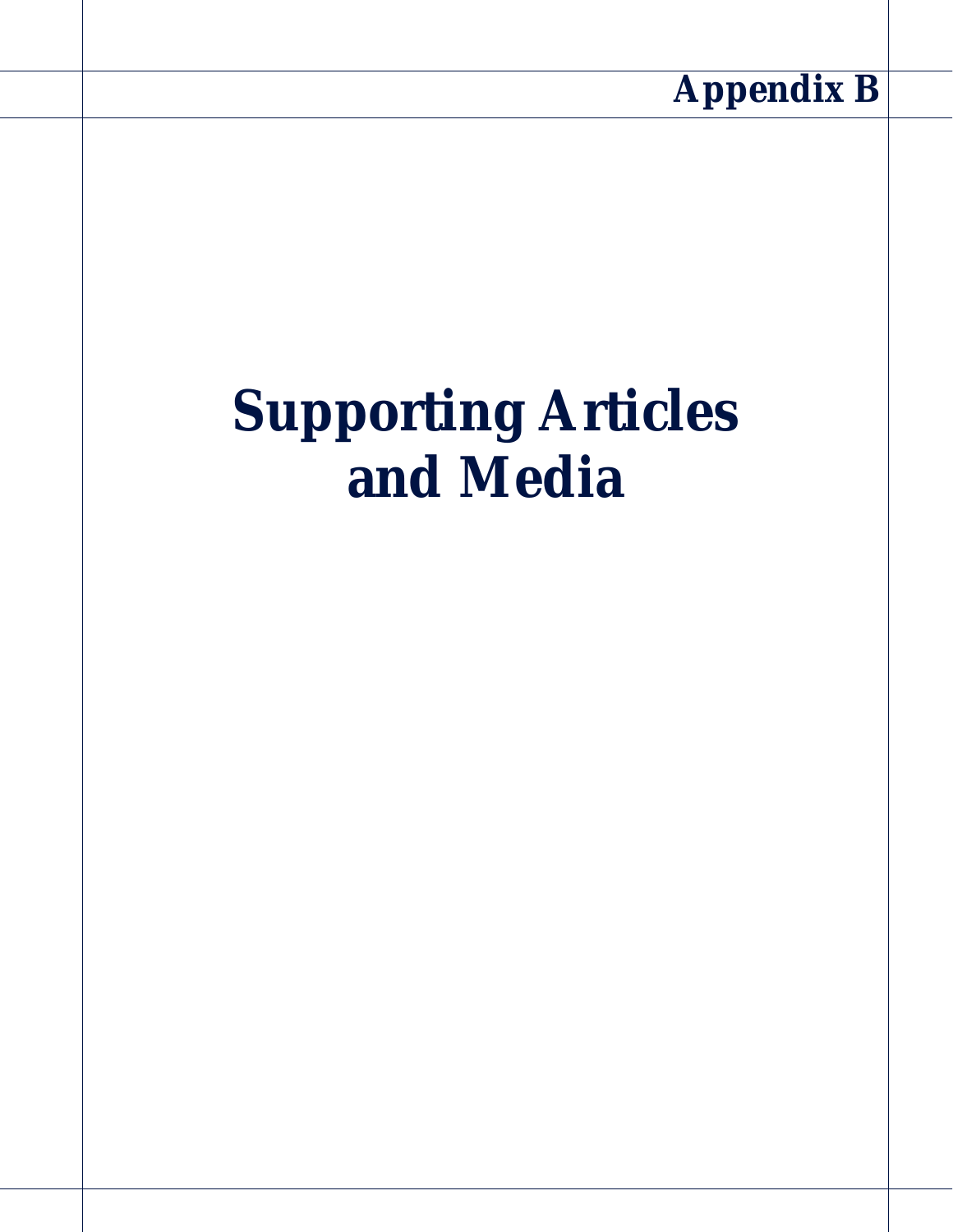

# **Supporting Articles and Media**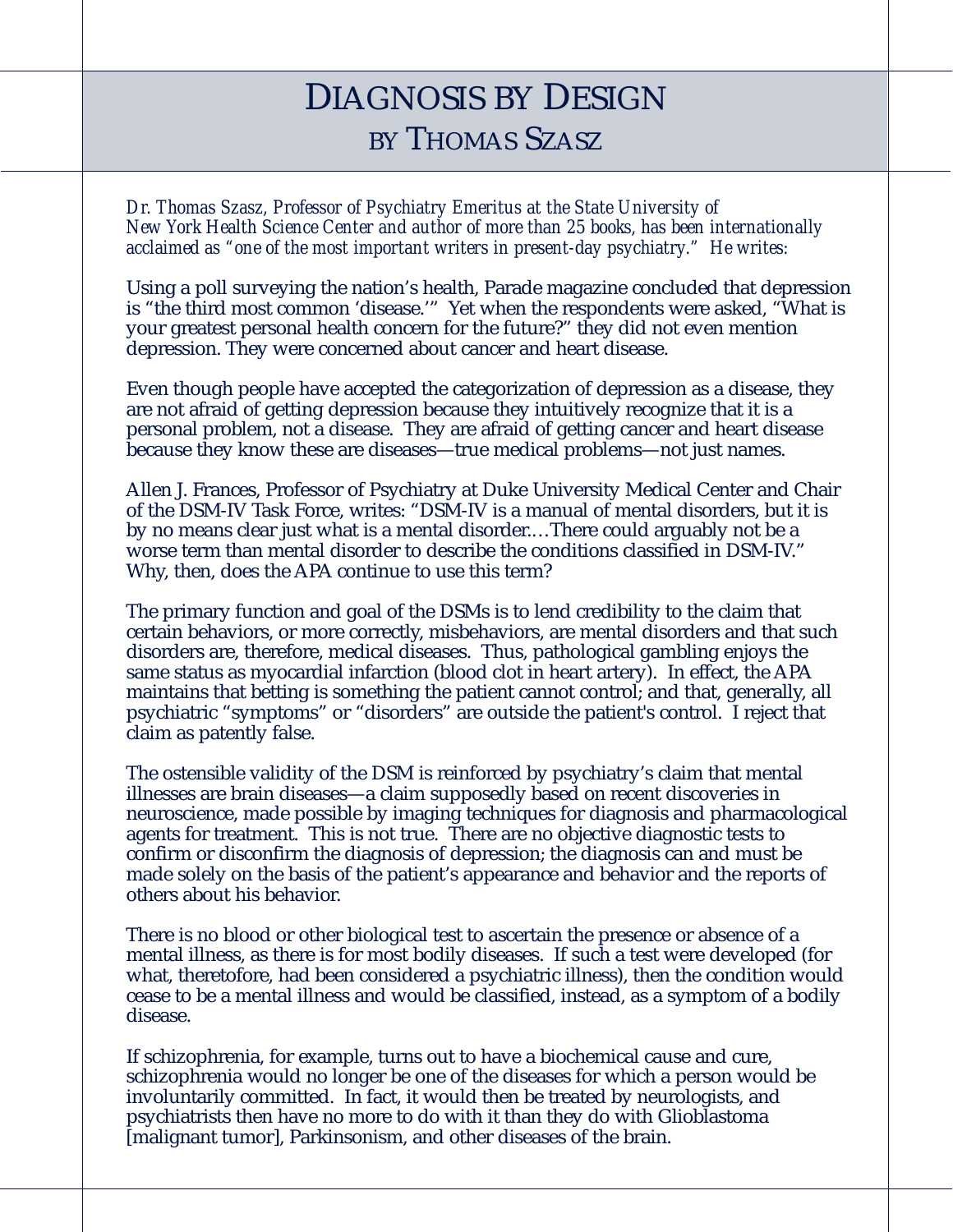### DIAGNOSIS BY DESIGN BY THOMAS SZASZ

*Dr. Thomas Szasz, Professor of Psychiatry Emeritus at the State University of New York Health Science Center and author of more than 25 books, has been internationally acclaimed as "one of the most important writers in present-day psychiatry." He writes:*

Using a poll surveying the nation's health, Parade magazine concluded that depression is "the third most common 'disease.'" Yet when the respondents were asked, "What is your greatest personal health concern for the future?" they did not even mention depression. They were concerned about cancer and heart disease.

Even though people have accepted the categorization of depression as a disease, they are not afraid of getting depression because they intuitively recognize that it is a personal problem, not a disease. They are afraid of getting cancer and heart disease because they know these are diseases—true medical problems—not just names.

Allen J. Frances, Professor of Psychiatry at Duke University Medical Center and Chair of the DSM-IV Task Force, writes: "DSM-IV is a manual of mental disorders, but it is by no means clear just what is a mental disorder.…There could arguably not be a worse term than mental disorder to describe the conditions classified in DSM-IV." Why, then, does the APA continue to use this term?

The primary function and goal of the DSMs is to lend credibility to the claim that certain behaviors, or more correctly, misbehaviors, are mental disorders and that such disorders are, therefore, medical diseases. Thus, pathological gambling enjoys the same status as myocardial infarction (blood clot in heart artery). In effect, the APA maintains that betting is something the patient cannot control; and that, generally, all psychiatric "symptoms" or "disorders" are outside the patient's control. I reject that claim as patently false.

The ostensible validity of the DSM is reinforced by psychiatry's claim that mental illnesses are brain diseases—a claim supposedly based on recent discoveries in neuroscience, made possible by imaging techniques for diagnosis and pharmacological agents for treatment. This is not true. There are no objective diagnostic tests to confirm or disconfirm the diagnosis of depression; the diagnosis can and must be made solely on the basis of the patient's appearance and behavior and the reports of others about his behavior.

There is no blood or other biological test to ascertain the presence or absence of a mental illness, as there is for most bodily diseases. If such a test were developed (for what, theretofore, had been considered a psychiatric illness), then the condition would cease to be a mental illness and would be classified, instead, as a symptom of a bodily disease.

If schizophrenia, for example, turns out to have a biochemical cause and cure, schizophrenia would no longer be one of the diseases for which a person would be involuntarily committed. In fact, it would then be treated by neurologists, and psychiatrists then have no more to do with it than they do with Glioblastoma [malignant tumor], Parkinsonism, and other diseases of the brain.